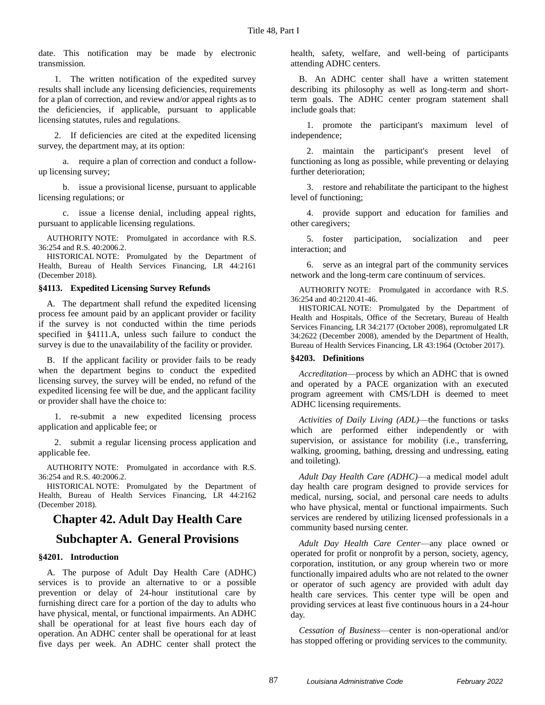date. This notification may be made by electronic transmission.

1. The written notification of the expedited survey results shall include any licensing deficiencies, requirements for a plan of correction, and review and/or appeal rights as to the deficiencies, if applicable, pursuant to applicable licensing statutes, rules and regulations.

2. If deficiencies are cited at the expedited licensing survey, the department may, at its option:

a. require a plan of correction and conduct a followup licensing survey;

b. issue a provisional license, pursuant to applicable licensing regulations; or

c. issue a license denial, including appeal rights, pursuant to applicable licensing regulations.

AUTHORITY NOTE: Promulgated in accordance with R.S. 36:254 and R.S. 40:2006.2.

HISTORICAL NOTE: Promulgated by the Department of Health, Bureau of Health Services Financing, LR 44:2161 (December 2018).

#### **§4113. Expedited Licensing Survey Refunds**

A. The department shall refund the expedited licensing process fee amount paid by an applicant provider or facility if the survey is not conducted within the time periods specified in §4111.A, unless such failure to conduct the survey is due to the unavailability of the facility or provider.

B. If the applicant facility or provider fails to be ready when the department begins to conduct the expedited licensing survey, the survey will be ended, no refund of the expedited licensing fee will be due, and the applicant facility or provider shall have the choice to:

1. re-submit a new expedited licensing process application and applicable fee; or

2. submit a regular licensing process application and applicable fee.

AUTHORITY NOTE: Promulgated in accordance with R.S. 36:254 and R.S. 40:2006.2.

HISTORICAL NOTE: Promulgated by the Department of Health, Bureau of Health Services Financing, LR 44:2162 (December 2018).

# **Chapter 42. Adult Day Health Care**

# **Subchapter A. General Provisions**

## **§4201. Introduction**

A. The purpose of Adult Day Health Care (ADHC) services is to provide an alternative to or a possible prevention or delay of 24-hour institutional care by furnishing direct care for a portion of the day to adults who have physical, mental, or functional impairments. An ADHC shall be operational for at least five hours each day of operation. An ADHC center shall be operational for at least five days per week. An ADHC center shall protect the health, safety, welfare, and well-being of participants attending ADHC centers.

B. An ADHC center shall have a written statement describing its philosophy as well as long-term and shortterm goals. The ADHC center program statement shall include goals that:

1. promote the participant's maximum level of independence;

2. maintain the participant's present level of functioning as long as possible, while preventing or delaying further deterioration;

3. restore and rehabilitate the participant to the highest level of functioning;

4. provide support and education for families and other caregivers;

5. foster participation, socialization and peer interaction; and

6. serve as an integral part of the community services network and the long-term care continuum of services.

AUTHORITY NOTE: Promulgated in accordance with R.S. 36:254 and 40:2120.41-46.

HISTORICAL NOTE: Promulgated by the Department of Health and Hospitals, Office of the Secretary, Bureau of Health Services Financing, LR 34:2177 (October 2008), repromulgated LR 34:2622 (December 2008), amended by the Department of Health, Bureau of Health Services Financing, LR 43:1964 (October 2017).

#### **§4203. Definitions**

*Accreditation*—process by which an ADHC that is owned and operated by a PACE organization with an executed program agreement with CMS/LDH is deemed to meet ADHC licensing requirements.

*Activities of Daily Living (ADL)*—the functions or tasks which are performed either independently or with supervision, or assistance for mobility (i.e., transferring, walking, grooming, bathing, dressing and undressing, eating and toileting).

*Adult Day Health Care (ADHC)*—a medical model adult day health care program designed to provide services for medical, nursing, social, and personal care needs to adults who have physical, mental or functional impairments. Such services are rendered by utilizing licensed professionals in a community based nursing center.

*Adult Day Health Care Center*—any place owned or operated for profit or nonprofit by a person, society, agency, corporation, institution, or any group wherein two or more functionally impaired adults who are not related to the owner or operator of such agency are provided with adult day health care services. This center type will be open and providing services at least five continuous hours in a 24-hour day.

*Cessation of Business*—center is non-operational and/or has stopped offering or providing services to the community.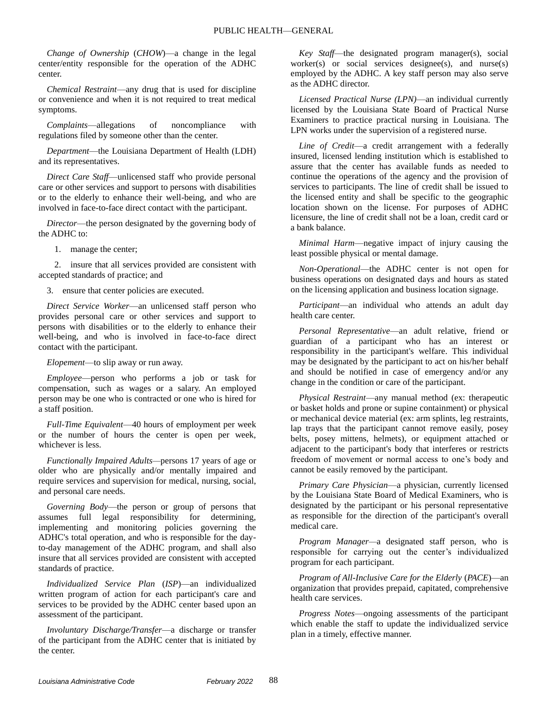*Change of Ownership* (*CHOW*)—a change in the legal center/entity responsible for the operation of the ADHC center.

*Chemical Restraint*—any drug that is used for discipline or convenience and when it is not required to treat medical symptoms.

*Complaints*—allegations of noncompliance with regulations filed by someone other than the center.

*Department*—the Louisiana Department of Health (LDH) and its representatives.

*Direct Care Staff*—unlicensed staff who provide personal care or other services and support to persons with disabilities or to the elderly to enhance their well-being, and who are involved in face-to-face direct contact with the participant.

*Director*—the person designated by the governing body of the ADHC to:

1. manage the center;

2. insure that all services provided are consistent with accepted standards of practice; and

3. ensure that center policies are executed.

*Direct Service Worker*—an unlicensed staff person who provides personal care or other services and support to persons with disabilities or to the elderly to enhance their well-being, and who is involved in face-to-face direct contact with the participant.

*Elopement*—to slip away or run away.

*Employee*—person who performs a job or task for compensation, such as wages or a salary. An employed person may be one who is contracted or one who is hired for a staff position.

*Full-Time Equivalent*—40 hours of employment per week or the number of hours the center is open per week, whichever is less.

*Functionally Impaired Adults—*persons 17 years of age or older who are physically and/or mentally impaired and require services and supervision for medical, nursing, social, and personal care needs.

*Governing Body*—the person or group of persons that assumes full legal responsibility for determining, implementing and monitoring policies governing the ADHC's total operation, and who is responsible for the dayto-day management of the ADHC program, and shall also insure that all services provided are consistent with accepted standards of practice.

*Individualized Service Plan* (*ISP*)—an individualized written program of action for each participant's care and services to be provided by the ADHC center based upon an assessment of the participant.

*Involuntary Discharge/Transfer*—a discharge or transfer of the participant from the ADHC center that is initiated by the center.

*Key Staff*—the designated program manager(s), social worker(s) or social services designee(s), and nurse(s) employed by the ADHC. A key staff person may also serve as the ADHC director.

*Licensed Practical Nurse (LPN)*—an individual currently licensed by the Louisiana State Board of Practical Nurse Examiners to practice practical nursing in Louisiana. The LPN works under the supervision of a registered nurse.

*Line of Credit*—a credit arrangement with a federally insured, licensed lending institution which is established to assure that the center has available funds as needed to continue the operations of the agency and the provision of services to participants. The line of credit shall be issued to the licensed entity and shall be specific to the geographic location shown on the license. For purposes of ADHC licensure, the line of credit shall not be a loan, credit card or a bank balance.

*Minimal Harm*—negative impact of injury causing the least possible physical or mental damage.

*Non-Operational*—the ADHC center is not open for business operations on designated days and hours as stated on the licensing application and business location signage.

*Participant*—an individual who attends an adult day health care center.

*Personal Representative*—an adult relative, friend or guardian of a participant who has an interest or responsibility in the participant's welfare. This individual may be designated by the participant to act on his/her behalf and should be notified in case of emergency and/or any change in the condition or care of the participant.

*Physical Restraint*—any manual method (ex: therapeutic or basket holds and prone or supine containment) or physical or mechanical device material (ex: arm splints, leg restraints, lap trays that the participant cannot remove easily, posey belts, posey mittens, helmets), or equipment attached or adjacent to the participant's body that interferes or restricts freedom of movement or normal access to one's body and cannot be easily removed by the participant.

*Primary Care Physician*—a physician, currently licensed by the Louisiana State Board of Medical Examiners, who is designated by the participant or his personal representative as responsible for the direction of the participant's overall medical care.

*Program Manager—*a designated staff person, who is responsible for carrying out the center's individualized program for each participant.

*Program of All-Inclusive Care for the Elderly* (*PACE*)—an organization that provides prepaid, capitated, comprehensive health care services.

*Progress Notes*—ongoing assessments of the participant which enable the staff to update the individualized service plan in a timely, effective manner.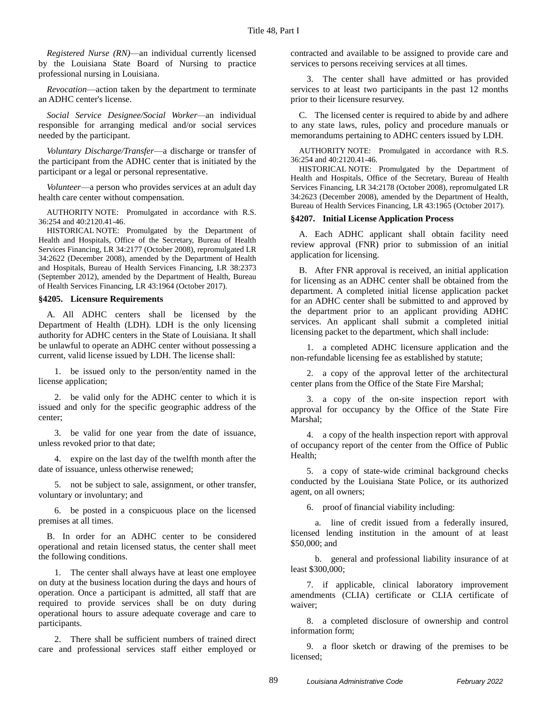*Registered Nurse (RN)*—an individual currently licensed by the Louisiana State Board of Nursing to practice professional nursing in Louisiana.

*Revocation*—action taken by the department to terminate an ADHC center's license.

*Social Service Designee/Social Worker—*an individual responsible for arranging medical and/or social services needed by the participant.

*Voluntary Discharge/Transfer*—a discharge or transfer of the participant from the ADHC center that is initiated by the participant or a legal or personal representative.

*Volunteer*—a person who provides services at an adult day health care center without compensation.

AUTHORITY NOTE: Promulgated in accordance with R.S. 36:254 and 40:2120.41-46.

HISTORICAL NOTE: Promulgated by the Department of Health and Hospitals, Office of the Secretary, Bureau of Health Services Financing, LR 34:2177 (October 2008), repromulgated LR 34:2622 (December 2008), amended by the Department of Health and Hospitals, Bureau of Health Services Financing, LR 38:2373 (September 2012), amended by the Department of Health, Bureau of Health Services Financing, LR 43:1964 (October 2017).

#### **§4205. Licensure Requirements**

A. All ADHC centers shall be licensed by the Department of Health (LDH). LDH is the only licensing authority for ADHC centers in the State of Louisiana. It shall be unlawful to operate an ADHC center without possessing a current, valid license issued by LDH. The license shall:

1. be issued only to the person/entity named in the license application;

2. be valid only for the ADHC center to which it is issued and only for the specific geographic address of the center;

3. be valid for one year from the date of issuance, unless revoked prior to that date;

4. expire on the last day of the twelfth month after the date of issuance, unless otherwise renewed;

5. not be subject to sale, assignment, or other transfer, voluntary or involuntary; and

6. be posted in a conspicuous place on the licensed premises at all times.

B. In order for an ADHC center to be considered operational and retain licensed status, the center shall meet the following conditions.

1. The center shall always have at least one employee on duty at the business location during the days and hours of operation. Once a participant is admitted, all staff that are required to provide services shall be on duty during operational hours to assure adequate coverage and care to participants.

2. There shall be sufficient numbers of trained direct care and professional services staff either employed or contracted and available to be assigned to provide care and services to persons receiving services at all times.

3. The center shall have admitted or has provided services to at least two participants in the past 12 months prior to their licensure resurvey.

C. The licensed center is required to abide by and adhere to any state laws, rules, policy and procedure manuals or memorandums pertaining to ADHC centers issued by LDH.

AUTHORITY NOTE: Promulgated in accordance with R.S. 36:254 and 40:2120.41-46.

HISTORICAL NOTE: Promulgated by the Department of Health and Hospitals, Office of the Secretary, Bureau of Health Services Financing, LR 34:2178 (October 2008), repromulgated LR 34:2623 (December 2008), amended by the Department of Health, Bureau of Health Services Financing, LR 43:1965 (October 2017).

#### **§4207. Initial License Application Process**

A. Each ADHC applicant shall obtain facility need review approval (FNR) prior to submission of an initial application for licensing.

B. After FNR approval is received, an initial application for licensing as an ADHC center shall be obtained from the department. A completed initial license application packet for an ADHC center shall be submitted to and approved by the department prior to an applicant providing ADHC services. An applicant shall submit a completed initial licensing packet to the department, which shall include:

1. a completed ADHC licensure application and the non-refundable licensing fee as established by statute;

2. a copy of the approval letter of the architectural center plans from the Office of the State Fire Marshal;

3. a copy of the on-site inspection report with approval for occupancy by the Office of the State Fire Marshal;

4. a copy of the health inspection report with approval of occupancy report of the center from the Office of Public Health;

5. a copy of state-wide criminal background checks conducted by the Louisiana State Police, or its authorized agent, on all owners;

6. proof of financial viability including:

a. line of credit issued from a federally insured, licensed lending institution in the amount of at least \$50,000; and

b. general and professional liability insurance of at least \$300,000;

7. if applicable, clinical laboratory improvement amendments (CLIA) certificate or CLIA certificate of waiver;

8. a completed disclosure of ownership and control information form;

9. a floor sketch or drawing of the premises to be licensed;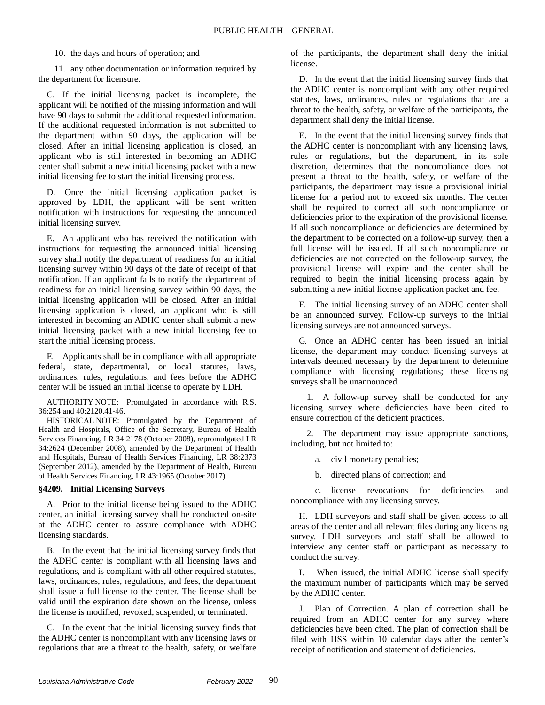#### 10. the days and hours of operation; and

11. any other documentation or information required by the department for licensure.

C. If the initial licensing packet is incomplete, the applicant will be notified of the missing information and will have 90 days to submit the additional requested information. If the additional requested information is not submitted to the department within 90 days, the application will be closed. After an initial licensing application is closed, an applicant who is still interested in becoming an ADHC center shall submit a new initial licensing packet with a new initial licensing fee to start the initial licensing process.

D. Once the initial licensing application packet is approved by LDH, the applicant will be sent written notification with instructions for requesting the announced initial licensing survey.

E. An applicant who has received the notification with instructions for requesting the announced initial licensing survey shall notify the department of readiness for an initial licensing survey within 90 days of the date of receipt of that notification. If an applicant fails to notify the department of readiness for an initial licensing survey within 90 days, the initial licensing application will be closed. After an initial licensing application is closed, an applicant who is still interested in becoming an ADHC center shall submit a new initial licensing packet with a new initial licensing fee to start the initial licensing process.

F. Applicants shall be in compliance with all appropriate federal, state, departmental, or local statutes, laws, ordinances, rules, regulations, and fees before the ADHC center will be issued an initial license to operate by LDH.

AUTHORITY NOTE: Promulgated in accordance with R.S. 36:254 and 40:2120.41-46.

HISTORICAL NOTE: Promulgated by the Department of Health and Hospitals, Office of the Secretary, Bureau of Health Services Financing, LR 34:2178 (October 2008), repromulgated LR 34:2624 (December 2008), amended by the Department of Health and Hospitals, Bureau of Health Services Financing, LR 38:2373 (September 2012), amended by the Department of Health, Bureau of Health Services Financing, LR 43:1965 (October 2017).

## **§4209. Initial Licensing Surveys**

A. Prior to the initial license being issued to the ADHC center, an initial licensing survey shall be conducted on-site at the ADHC center to assure compliance with ADHC licensing standards.

B. In the event that the initial licensing survey finds that the ADHC center is compliant with all licensing laws and regulations, and is compliant with all other required statutes, laws, ordinances, rules, regulations, and fees, the department shall issue a full license to the center. The license shall be valid until the expiration date shown on the license, unless the license is modified, revoked, suspended, or terminated.

C. In the event that the initial licensing survey finds that the ADHC center is noncompliant with any licensing laws or regulations that are a threat to the health, safety, or welfare of the participants, the department shall deny the initial license.

D. In the event that the initial licensing survey finds that the ADHC center is noncompliant with any other required statutes, laws, ordinances, rules or regulations that are a threat to the health, safety, or welfare of the participants, the department shall deny the initial license.

E. In the event that the initial licensing survey finds that the ADHC center is noncompliant with any licensing laws, rules or regulations, but the department, in its sole discretion, determines that the noncompliance does not present a threat to the health, safety, or welfare of the participants, the department may issue a provisional initial license for a period not to exceed six months. The center shall be required to correct all such noncompliance or deficiencies prior to the expiration of the provisional license. If all such noncompliance or deficiencies are determined by the department to be corrected on a follow-up survey, then a full license will be issued. If all such noncompliance or deficiencies are not corrected on the follow-up survey, the provisional license will expire and the center shall be required to begin the initial licensing process again by submitting a new initial license application packet and fee.

F. The initial licensing survey of an ADHC center shall be an announced survey. Follow-up surveys to the initial licensing surveys are not announced surveys.

G. Once an ADHC center has been issued an initial license, the department may conduct licensing surveys at intervals deemed necessary by the department to determine compliance with licensing regulations; these licensing surveys shall be unannounced.

1. A follow-up survey shall be conducted for any licensing survey where deficiencies have been cited to ensure correction of the deficient practices.

2. The department may issue appropriate sanctions, including, but not limited to:

a. civil monetary penalties;

b. directed plans of correction; and

c. license revocations for deficiencies and noncompliance with any licensing survey.

H. LDH surveyors and staff shall be given access to all areas of the center and all relevant files during any licensing survey. LDH surveyors and staff shall be allowed to interview any center staff or participant as necessary to conduct the survey.

When issued, the initial ADHC license shall specify the maximum number of participants which may be served by the ADHC center.

J. Plan of Correction. A plan of correction shall be required from an ADHC center for any survey where deficiencies have been cited. The plan of correction shall be filed with HSS within 10 calendar days after the center's receipt of notification and statement of deficiencies.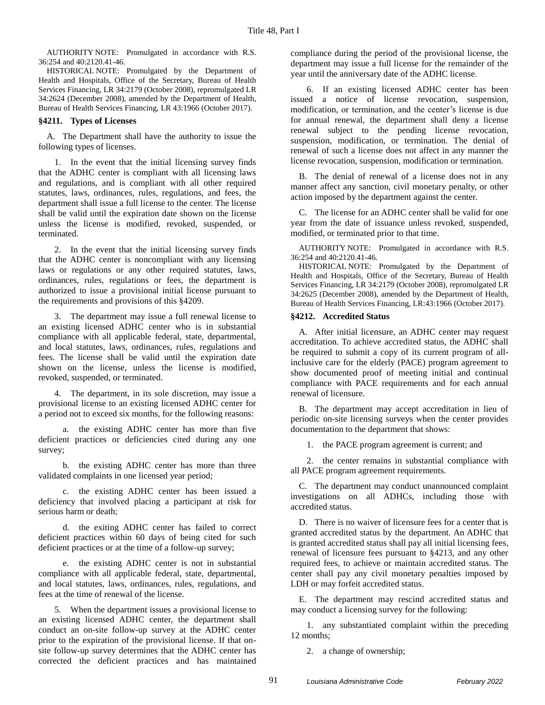AUTHORITY NOTE: Promulgated in accordance with R.S. 36:254 and 40:2120.41-46.

HISTORICAL NOTE: Promulgated by the Department of Health and Hospitals, Office of the Secretary, Bureau of Health Services Financing, LR 34:2179 (October 2008), repromulgated LR 34:2624 (December 2008), amended by the Department of Health, Bureau of Health Services Financing, LR 43:1966 (October 2017).

#### **§4211. Types of Licenses**

A. The Department shall have the authority to issue the following types of licenses.

1. In the event that the initial licensing survey finds that the ADHC center is compliant with all licensing laws and regulations, and is compliant with all other required statutes, laws, ordinances, rules, regulations, and fees, the department shall issue a full license to the center. The license shall be valid until the expiration date shown on the license unless the license is modified, revoked, suspended, or terminated.

2. In the event that the initial licensing survey finds that the ADHC center is noncompliant with any licensing laws or regulations or any other required statutes, laws, ordinances, rules, regulations or fees, the department is authorized to issue a provisional initial license pursuant to the requirements and provisions of this §4209.

3. The department may issue a full renewal license to an existing licensed ADHC center who is in substantial compliance with all applicable federal, state, departmental, and local statutes, laws, ordinances, rules, regulations and fees. The license shall be valid until the expiration date shown on the license, unless the license is modified, revoked, suspended, or terminated.

4. The department, in its sole discretion, may issue a provisional license to an existing licensed ADHC center for a period not to exceed six months, for the following reasons:

a. the existing ADHC center has more than five deficient practices or deficiencies cited during any one survey;

b. the existing ADHC center has more than three validated complaints in one licensed year period;

c. the existing ADHC center has been issued a deficiency that involved placing a participant at risk for serious harm or death;

d. the exiting ADHC center has failed to correct deficient practices within 60 days of being cited for such deficient practices or at the time of a follow-up survey;

e. the existing ADHC center is not in substantial compliance with all applicable federal, state, departmental, and local statutes, laws, ordinances, rules, regulations, and fees at the time of renewal of the license.

5. When the department issues a provisional license to an existing licensed ADHC center, the department shall conduct an on-site follow-up survey at the ADHC center prior to the expiration of the provisional license. If that onsite follow-up survey determines that the ADHC center has corrected the deficient practices and has maintained compliance during the period of the provisional license, the department may issue a full license for the remainder of the year until the anniversary date of the ADHC license.

6. If an existing licensed ADHC center has been issued a notice of license revocation, suspension, modification, or termination, and the center's license is due for annual renewal, the department shall deny a license renewal subject to the pending license revocation, suspension, modification, or termination. The denial of renewal of such a license does not affect in any manner the license revocation, suspension, modification or termination.

B. The denial of renewal of a license does not in any manner affect any sanction, civil monetary penalty, or other action imposed by the department against the center.

C. The license for an ADHC center shall be valid for one year from the date of issuance unless revoked, suspended, modified, or terminated prior to that time.

AUTHORITY NOTE: Promulgated in accordance with R.S. 36:254 and 40:2120.41-46.

HISTORICAL NOTE: Promulgated by the Department of Health and Hospitals, Office of the Secretary, Bureau of Health Services Financing, LR 34:2179 (October 2008), repromulgated LR 34:2625 (December 2008), amended by the Department of Health, Bureau of Health Services Financing, LR:43:1966 (October 2017).

#### **§4212. Accredited Status**

A. After initial licensure, an ADHC center may request accreditation. To achieve accredited status, the ADHC shall be required to submit a copy of its current program of allinclusive care for the elderly (PACE) program agreement to show documented proof of meeting initial and continual compliance with PACE requirements and for each annual renewal of licensure.

B. The department may accept accreditation in lieu of periodic on-site licensing surveys when the center provides documentation to the department that shows:

1. the PACE program agreement is current; and

2. the center remains in substantial compliance with all PACE program agreement requirements.

C. The department may conduct unannounced complaint investigations on all ADHCs, including those with accredited status.

D. There is no waiver of licensure fees for a center that is granted accredited status by the department. An ADHC that is granted accredited status shall pay all initial licensing fees, renewal of licensure fees pursuant to §4213, and any other required fees, to achieve or maintain accredited status. The center shall pay any civil monetary penalties imposed by LDH or may forfeit accredited status.

E. The department may rescind accredited status and may conduct a licensing survey for the following:

1. any substantiated complaint within the preceding 12 months;

2. a change of ownership;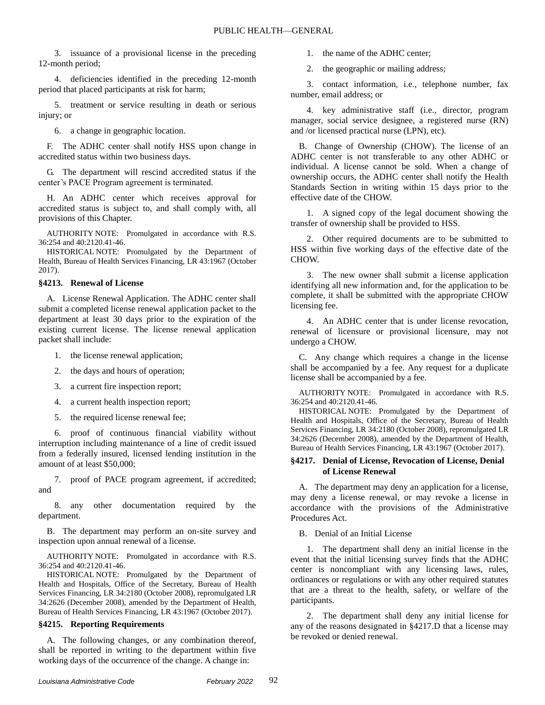3. issuance of a provisional license in the preceding 12-month period;

4. deficiencies identified in the preceding 12-month period that placed participants at risk for harm;

5. treatment or service resulting in death or serious injury; or

6. a change in geographic location.

F. The ADHC center shall notify HSS upon change in accredited status within two business days.

G. The department will rescind accredited status if the center's PACE Program agreement is terminated.

H. An ADHC center which receives approval for accredited status is subject to, and shall comply with, all provisions of this Chapter.

AUTHORITY NOTE: Promulgated in accordance with R.S. 36:254 and 40:2120.41-46.

HISTORICAL NOTE: Promulgated by the Department of Health, Bureau of Health Services Financing, LR 43:1967 (October 2017).

#### **§4213. Renewal of License**

A. License Renewal Application. The ADHC center shall submit a completed license renewal application packet to the department at least 30 days prior to the expiration of the existing current license. The license renewal application packet shall include:

- 1. the license renewal application;
- 2. the days and hours of operation;
- 3. a current fire inspection report;
- 4. a current health inspection report;
- 5. the required license renewal fee;

6. proof of continuous financial viability without interruption including maintenance of a line of credit issued from a federally insured, licensed lending institution in the amount of at least \$50,000;

7. proof of PACE program agreement, if accredited; and

8. any other documentation required by the department.

B. The department may perform an on-site survey and inspection upon annual renewal of a license.

AUTHORITY NOTE: Promulgated in accordance with R.S. 36:254 and 40:2120.41-46.

HISTORICAL NOTE: Promulgated by the Department of Health and Hospitals, Office of the Secretary, Bureau of Health Services Financing, LR 34:2180 (October 2008), repromulgated LR 34:2626 (December 2008), amended by the Department of Health, Bureau of Health Services Financing, LR 43:1967 (October 2017).

## **§4215. Reporting Requirements**

A. The following changes, or any combination thereof, shall be reported in writing to the department within five working days of the occurrence of the change. A change in:

1. the name of the ADHC center;

2. the geographic or mailing address;

3. contact information, i.e., telephone number, fax number, email address; or

4. key administrative staff (i.e., director, program manager, social service designee, a registered nurse (RN) and /or licensed practical nurse (LPN), etc).

B. Change of Ownership (CHOW). The license of an ADHC center is not transferable to any other ADHC or individual. A license cannot be sold. When a change of ownership occurs, the ADHC center shall notify the Health Standards Section in writing within 15 days prior to the effective date of the CHOW.

1. A signed copy of the legal document showing the transfer of ownership shall be provided to HSS.

2. Other required documents are to be submitted to HSS within five working days of the effective date of the CHOW.

3. The new owner shall submit a license application identifying all new information and, for the application to be complete, it shall be submitted with the appropriate CHOW licensing fee.

4. An ADHC center that is under license revocation, renewal of licensure or provisional licensure, may not undergo a CHOW.

C. Any change which requires a change in the license shall be accompanied by a fee. Any request for a duplicate license shall be accompanied by a fee.

AUTHORITY NOTE: Promulgated in accordance with R.S. 36:254 and 40:2120.41-46.

HISTORICAL NOTE: Promulgated by the Department of Health and Hospitals, Office of the Secretary, Bureau of Health Services Financing, LR 34:2180 (October 2008), repromulgated LR 34:2626 (December 2008), amended by the Department of Health, Bureau of Health Services Financing, LR 43:1967 (October 2017).

#### **§4217. Denial of License, Revocation of License, Denial of License Renewal**

A. The department may deny an application for a license, may deny a license renewal, or may revoke a license in accordance with the provisions of the Administrative Procedures Act.

B. Denial of an Initial License

1. The department shall deny an initial license in the event that the initial licensing survey finds that the ADHC center is noncompliant with any licensing laws, rules, ordinances or regulations or with any other required statutes that are a threat to the health, safety, or welfare of the participants.

2. The department shall deny any initial license for any of the reasons designated in §4217.D that a license may be revoked or denied renewal.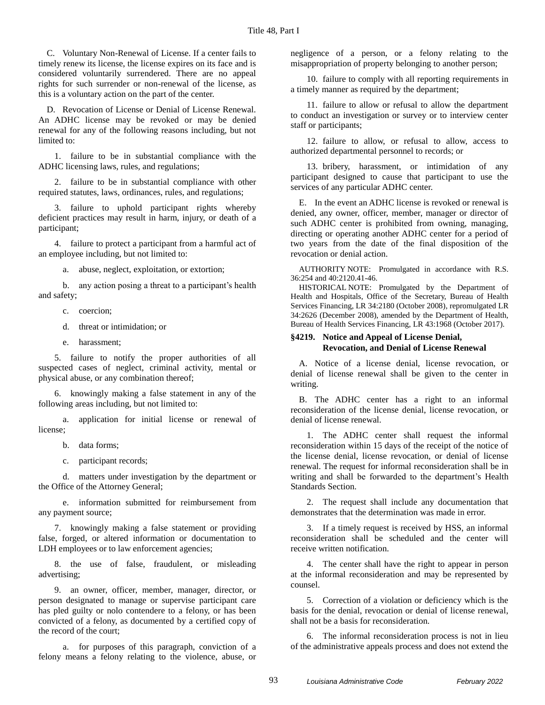C. Voluntary Non-Renewal of License. If a center fails to timely renew its license, the license expires on its face and is considered voluntarily surrendered. There are no appeal rights for such surrender or non-renewal of the license, as this is a voluntary action on the part of the center.

D. Revocation of License or Denial of License Renewal. An ADHC license may be revoked or may be denied renewal for any of the following reasons including, but not limited to:

1. failure to be in substantial compliance with the ADHC licensing laws, rules, and regulations;

2. failure to be in substantial compliance with other required statutes, laws, ordinances, rules, and regulations;

3. failure to uphold participant rights whereby deficient practices may result in harm, injury, or death of a participant;

4. failure to protect a participant from a harmful act of an employee including, but not limited to:

a. abuse, neglect, exploitation, or extortion;

b. any action posing a threat to a participant's health and safety;

- c. coercion;
- d. threat or intimidation; or
- e. harassment;

5. failure to notify the proper authorities of all suspected cases of neglect, criminal activity, mental or physical abuse, or any combination thereof;

6. knowingly making a false statement in any of the following areas including, but not limited to:

application for initial license or renewal of license;

- b. data forms;
- c. participant records;

d. matters under investigation by the department or the Office of the Attorney General;

e. information submitted for reimbursement from any payment source;

7. knowingly making a false statement or providing false, forged, or altered information or documentation to LDH employees or to law enforcement agencies;

8. the use of false, fraudulent, or misleading advertising;

9. an owner, officer, member, manager, director, or person designated to manage or supervise participant care has pled guilty or nolo contendere to a felony, or has been convicted of a felony, as documented by a certified copy of the record of the court;

a. for purposes of this paragraph, conviction of a felony means a felony relating to the violence, abuse, or negligence of a person, or a felony relating to the misappropriation of property belonging to another person;

10. failure to comply with all reporting requirements in a timely manner as required by the department;

11. failure to allow or refusal to allow the department to conduct an investigation or survey or to interview center staff or participants;

12. failure to allow, or refusal to allow, access to authorized departmental personnel to records; or

13. bribery, harassment, or intimidation of any participant designed to cause that participant to use the services of any particular ADHC center.

E. In the event an ADHC license is revoked or renewal is denied, any owner, officer, member, manager or director of such ADHC center is prohibited from owning, managing, directing or operating another ADHC center for a period of two years from the date of the final disposition of the revocation or denial action.

AUTHORITY NOTE: Promulgated in accordance with R.S. 36:254 and 40:2120.41-46.

HISTORICAL NOTE: Promulgated by the Department of Health and Hospitals, Office of the Secretary, Bureau of Health Services Financing, LR 34:2180 (October 2008), repromulgated LR 34:2626 (December 2008), amended by the Department of Health, Bureau of Health Services Financing, LR 43:1968 (October 2017).

#### **§4219. Notice and Appeal of License Denial, Revocation, and Denial of License Renewal**

A. Notice of a license denial, license revocation, or denial of license renewal shall be given to the center in writing.

B. The ADHC center has a right to an informal reconsideration of the license denial, license revocation, or denial of license renewal.

1. The ADHC center shall request the informal reconsideration within 15 days of the receipt of the notice of the license denial, license revocation, or denial of license renewal. The request for informal reconsideration shall be in writing and shall be forwarded to the department's Health Standards Section.

2. The request shall include any documentation that demonstrates that the determination was made in error.

3. If a timely request is received by HSS, an informal reconsideration shall be scheduled and the center will receive written notification.

4. The center shall have the right to appear in person at the informal reconsideration and may be represented by counsel.

5. Correction of a violation or deficiency which is the basis for the denial, revocation or denial of license renewal, shall not be a basis for reconsideration.

6. The informal reconsideration process is not in lieu of the administrative appeals process and does not extend the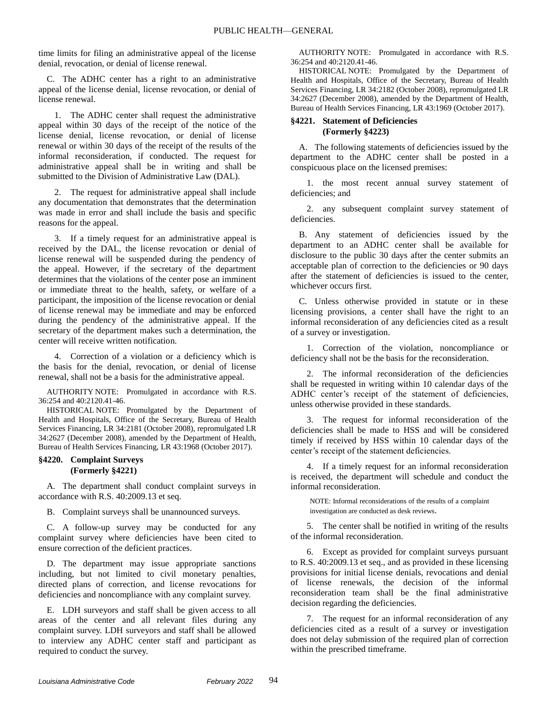time limits for filing an administrative appeal of the license denial, revocation, or denial of license renewal.

C. The ADHC center has a right to an administrative appeal of the license denial, license revocation, or denial of license renewal.

1. The ADHC center shall request the administrative appeal within 30 days of the receipt of the notice of the license denial, license revocation, or denial of license renewal or within 30 days of the receipt of the results of the informal reconsideration, if conducted. The request for administrative appeal shall be in writing and shall be submitted to the Division of Administrative Law (DAL).

2. The request for administrative appeal shall include any documentation that demonstrates that the determination was made in error and shall include the basis and specific reasons for the appeal.

3. If a timely request for an administrative appeal is received by the DAL, the license revocation or denial of license renewal will be suspended during the pendency of the appeal. However, if the secretary of the department determines that the violations of the center pose an imminent or immediate threat to the health, safety, or welfare of a participant, the imposition of the license revocation or denial of license renewal may be immediate and may be enforced during the pendency of the administrative appeal. If the secretary of the department makes such a determination, the center will receive written notification.

4. Correction of a violation or a deficiency which is the basis for the denial, revocation, or denial of license renewal, shall not be a basis for the administrative appeal.

AUTHORITY NOTE: Promulgated in accordance with R.S. 36:254 and 40:2120.41-46.

HISTORICAL NOTE: Promulgated by the Department of Health and Hospitals, Office of the Secretary, Bureau of Health Services Financing, LR 34:2181 (October 2008), repromulgated LR 34:2627 (December 2008), amended by the Department of Health, Bureau of Health Services Financing, LR 43:1968 (October 2017).

#### **§4220. Complaint Surveys (Formerly §4221)**

A. The department shall conduct complaint surveys in accordance with R.S. 40:2009.13 et seq.

B. Complaint surveys shall be unannounced surveys.

C. A follow-up survey may be conducted for any complaint survey where deficiencies have been cited to ensure correction of the deficient practices.

D. The department may issue appropriate sanctions including, but not limited to civil monetary penalties, directed plans of correction, and license revocations for deficiencies and noncompliance with any complaint survey.

E. LDH surveyors and staff shall be given access to all areas of the center and all relevant files during any complaint survey. LDH surveyors and staff shall be allowed to interview any ADHC center staff and participant as required to conduct the survey.

AUTHORITY NOTE: Promulgated in accordance with R.S. 36:254 and 40:2120.41-46.

HISTORICAL NOTE: Promulgated by the Department of Health and Hospitals, Office of the Secretary, Bureau of Health Services Financing, LR 34:2182 (October 2008), repromulgated LR 34:2627 (December 2008), amended by the Department of Health, Bureau of Health Services Financing, LR 43:1969 (October 2017).

## **§4221. Statement of Deficiencies (Formerly §4223)**

A. The following statements of deficiencies issued by the department to the ADHC center shall be posted in a conspicuous place on the licensed premises:

1. the most recent annual survey statement of deficiencies; and

2. any subsequent complaint survey statement of deficiencies.

B. Any statement of deficiencies issued by the department to an ADHC center shall be available for disclosure to the public 30 days after the center submits an acceptable plan of correction to the deficiencies or 90 days after the statement of deficiencies is issued to the center, whichever occurs first.

C. Unless otherwise provided in statute or in these licensing provisions, a center shall have the right to an informal reconsideration of any deficiencies cited as a result of a survey or investigation.

1. Correction of the violation, noncompliance or deficiency shall not be the basis for the reconsideration.

2. The informal reconsideration of the deficiencies shall be requested in writing within 10 calendar days of the ADHC center's receipt of the statement of deficiencies, unless otherwise provided in these standards.

3. The request for informal reconsideration of the deficiencies shall be made to HSS and will be considered timely if received by HSS within 10 calendar days of the center's receipt of the statement deficiencies.

4. If a timely request for an informal reconsideration is received, the department will schedule and conduct the informal reconsideration.

NOTE: Informal reconsiderations of the results of a complaint investigation are conducted as desk reviews.

5. The center shall be notified in writing of the results of the informal reconsideration.

6. Except as provided for complaint surveys pursuant to R.S. 40:2009.13 et seq., and as provided in these licensing provisions for initial license denials, revocations and denial of license renewals, the decision of the informal reconsideration team shall be the final administrative decision regarding the deficiencies.

7. The request for an informal reconsideration of any deficiencies cited as a result of a survey or investigation does not delay submission of the required plan of correction within the prescribed timeframe.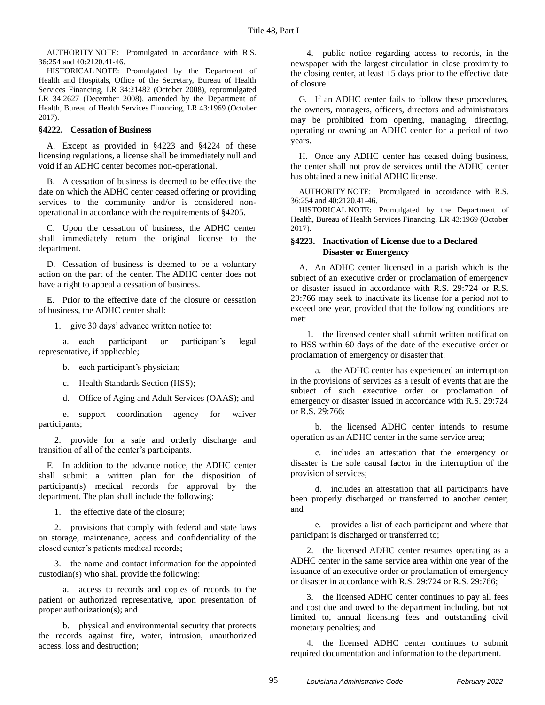AUTHORITY NOTE: Promulgated in accordance with R.S. 36:254 and 40:2120.41-46.

HISTORICAL NOTE: Promulgated by the Department of Health and Hospitals, Office of the Secretary, Bureau of Health Services Financing, LR 34:21482 (October 2008), repromulgated LR 34:2627 (December 2008), amended by the Department of Health, Bureau of Health Services Financing, LR 43:1969 (October 2017).

#### **§4222. Cessation of Business**

A. Except as provided in §4223 and §4224 of these licensing regulations, a license shall be immediately null and void if an ADHC center becomes non-operational.

B. A cessation of business is deemed to be effective the date on which the ADHC center ceased offering or providing services to the community and/or is considered nonoperational in accordance with the requirements of §4205.

C. Upon the cessation of business, the ADHC center shall immediately return the original license to the department.

D. Cessation of business is deemed to be a voluntary action on the part of the center. The ADHC center does not have a right to appeal a cessation of business.

E. Prior to the effective date of the closure or cessation of business, the ADHC center shall:

1. give 30 days' advance written notice to:

a. each participant or participant's legal representative, if applicable;

- b. each participant's physician;
- c. Health Standards Section (HSS);
- d. Office of Aging and Adult Services (OAAS); and

e. support coordination agency for waiver participants;

2. provide for a safe and orderly discharge and transition of all of the center's participants.

F. In addition to the advance notice, the ADHC center shall submit a written plan for the disposition of participant(s) medical records for approval by the department. The plan shall include the following:

1. the effective date of the closure;

2. provisions that comply with federal and state laws on storage, maintenance, access and confidentiality of the closed center's patients medical records;

3. the name and contact information for the appointed custodian(s) who shall provide the following:

a. access to records and copies of records to the patient or authorized representative, upon presentation of proper authorization(s); and

b. physical and environmental security that protects the records against fire, water, intrusion, unauthorized access, loss and destruction;

4. public notice regarding access to records, in the newspaper with the largest circulation in close proximity to the closing center, at least 15 days prior to the effective date of closure.

G. If an ADHC center fails to follow these procedures, the owners, managers, officers, directors and administrators may be prohibited from opening, managing, directing, operating or owning an ADHC center for a period of two years.

H. Once any ADHC center has ceased doing business, the center shall not provide services until the ADHC center has obtained a new initial ADHC license.

AUTHORITY NOTE: Promulgated in accordance with R.S. 36:254 and 40:2120.41-46.

HISTORICAL NOTE: Promulgated by the Department of Health, Bureau of Health Services Financing, LR 43:1969 (October 2017).

#### **§4223. Inactivation of License due to a Declared Disaster or Emergency**

A. An ADHC center licensed in a parish which is the subject of an executive order or proclamation of emergency or disaster issued in accordance with R.S. 29:724 or R.S. 29:766 may seek to inactivate its license for a period not to exceed one year, provided that the following conditions are met:

1. the licensed center shall submit written notification to HSS within 60 days of the date of the executive order or proclamation of emergency or disaster that:

a. the ADHC center has experienced an interruption in the provisions of services as a result of events that are the subject of such executive order or proclamation of emergency or disaster issued in accordance with R.S. 29:724 or R.S. 29:766;

b. the licensed ADHC center intends to resume operation as an ADHC center in the same service area;

c. includes an attestation that the emergency or disaster is the sole causal factor in the interruption of the provision of services;

d. includes an attestation that all participants have been properly discharged or transferred to another center; and

e. provides a list of each participant and where that participant is discharged or transferred to;

2. the licensed ADHC center resumes operating as a ADHC center in the same service area within one year of the issuance of an executive order or proclamation of emergency or disaster in accordance with R.S. 29:724 or R.S. 29:766;

3. the licensed ADHC center continues to pay all fees and cost due and owed to the department including, but not limited to, annual licensing fees and outstanding civil monetary penalties; and

4. the licensed ADHC center continues to submit required documentation and information to the department.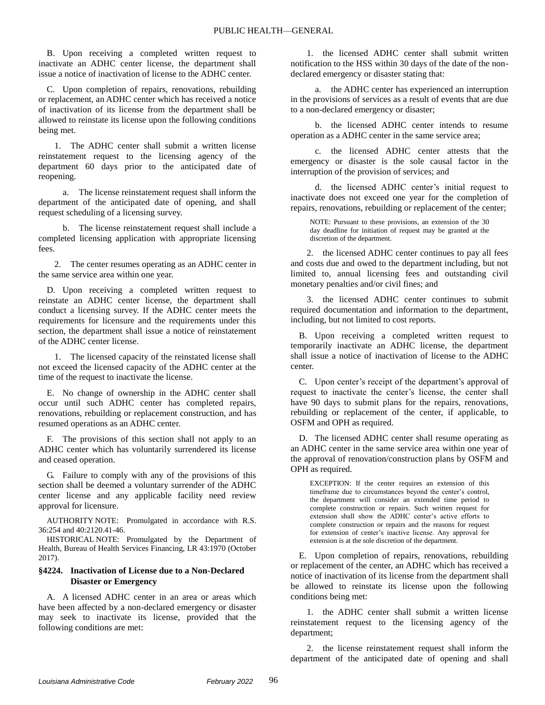B. Upon receiving a completed written request to inactivate an ADHC center license, the department shall issue a notice of inactivation of license to the ADHC center.

C. Upon completion of repairs, renovations, rebuilding or replacement, an ADHC center which has received a notice of inactivation of its license from the department shall be allowed to reinstate its license upon the following conditions being met.

1. The ADHC center shall submit a written license reinstatement request to the licensing agency of the department 60 days prior to the anticipated date of reopening.

a. The license reinstatement request shall inform the department of the anticipated date of opening, and shall request scheduling of a licensing survey.

b. The license reinstatement request shall include a completed licensing application with appropriate licensing fees.

2. The center resumes operating as an ADHC center in the same service area within one year.

D. Upon receiving a completed written request to reinstate an ADHC center license, the department shall conduct a licensing survey. If the ADHC center meets the requirements for licensure and the requirements under this section, the department shall issue a notice of reinstatement of the ADHC center license.

1. The licensed capacity of the reinstated license shall not exceed the licensed capacity of the ADHC center at the time of the request to inactivate the license.

E. No change of ownership in the ADHC center shall occur until such ADHC center has completed repairs, renovations, rebuilding or replacement construction, and has resumed operations as an ADHC center.

F. The provisions of this section shall not apply to an ADHC center which has voluntarily surrendered its license and ceased operation.

G. Failure to comply with any of the provisions of this section shall be deemed a voluntary surrender of the ADHC center license and any applicable facility need review approval for licensure.

AUTHORITY NOTE: Promulgated in accordance with R.S. 36:254 and 40:2120.41-46.

HISTORICAL NOTE: Promulgated by the Department of Health, Bureau of Health Services Financing, LR 43:1970 (October 2017).

#### **§4224. Inactivation of License due to a Non-Declared Disaster or Emergency**

A. A licensed ADHC center in an area or areas which have been affected by a non-declared emergency or disaster may seek to inactivate its license, provided that the following conditions are met:

1. the licensed ADHC center shall submit written notification to the HSS within 30 days of the date of the nondeclared emergency or disaster stating that:

a. the ADHC center has experienced an interruption in the provisions of services as a result of events that are due to a non-declared emergency or disaster;

b. the licensed ADHC center intends to resume operation as a ADHC center in the same service area;

c. the licensed ADHC center attests that the emergency or disaster is the sole causal factor in the interruption of the provision of services; and

d. the licensed ADHC center's initial request to inactivate does not exceed one year for the completion of repairs, renovations, rebuilding or replacement of the center;

NOTE: Pursuant to these provisions, an extension of the 30 day deadline for initiation of request may be granted at the discretion of the department.

2. the licensed ADHC center continues to pay all fees and costs due and owed to the department including, but not limited to, annual licensing fees and outstanding civil monetary penalties and/or civil fines; and

3. the licensed ADHC center continues to submit required documentation and information to the department, including, but not limited to cost reports.

B. Upon receiving a completed written request to temporarily inactivate an ADHC license, the department shall issue a notice of inactivation of license to the ADHC center.

C. Upon center's receipt of the department's approval of request to inactivate the center's license, the center shall have 90 days to submit plans for the repairs, renovations, rebuilding or replacement of the center, if applicable, to OSFM and OPH as required.

D. The licensed ADHC center shall resume operating as an ADHC center in the same service area within one year of the approval of renovation/construction plans by OSFM and OPH as required.

EXCEPTION: If the center requires an extension of this timeframe due to circumstances beyond the center's control, the department will consider an extended time period to complete construction or repairs. Such written request for extension shall show the ADHC center's active efforts to complete construction or repairs and the reasons for request for extension of center's inactive license. Any approval for extension is at the sole discretion of the department.

E. Upon completion of repairs, renovations, rebuilding or replacement of the center, an ADHC which has received a notice of inactivation of its license from the department shall be allowed to reinstate its license upon the following conditions being met:

1. the ADHC center shall submit a written license reinstatement request to the licensing agency of the department;

2. the license reinstatement request shall inform the department of the anticipated date of opening and shall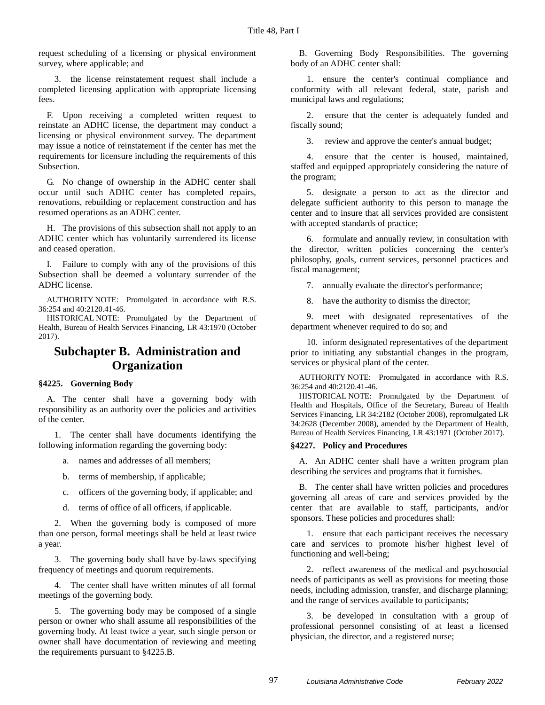request scheduling of a licensing or physical environment survey, where applicable; and

3. the license reinstatement request shall include a completed licensing application with appropriate licensing fees.

F. Upon receiving a completed written request to reinstate an ADHC license, the department may conduct a licensing or physical environment survey. The department may issue a notice of reinstatement if the center has met the requirements for licensure including the requirements of this Subsection.

G. No change of ownership in the ADHC center shall occur until such ADHC center has completed repairs, renovations, rebuilding or replacement construction and has resumed operations as an ADHC center.

H. The provisions of this subsection shall not apply to an ADHC center which has voluntarily surrendered its license and ceased operation.

I. Failure to comply with any of the provisions of this Subsection shall be deemed a voluntary surrender of the ADHC license.

AUTHORITY NOTE: Promulgated in accordance with R.S. 36:254 and 40:2120.41-46.

HISTORICAL NOTE: Promulgated by the Department of Health, Bureau of Health Services Financing, LR 43:1970 (October 2017).

# **Subchapter B. Administration and Organization**

## **§4225. Governing Body**

A. The center shall have a governing body with responsibility as an authority over the policies and activities of the center.

1. The center shall have documents identifying the following information regarding the governing body:

a. names and addresses of all members;

- b. terms of membership, if applicable;
- c. officers of the governing body, if applicable; and
- d. terms of office of all officers, if applicable.

2. When the governing body is composed of more than one person, formal meetings shall be held at least twice a year.

3. The governing body shall have by-laws specifying frequency of meetings and quorum requirements.

4. The center shall have written minutes of all formal meetings of the governing body.

5. The governing body may be composed of a single person or owner who shall assume all responsibilities of the governing body. At least twice a year, such single person or owner shall have documentation of reviewing and meeting the requirements pursuant to §4225.B.

B. Governing Body Responsibilities. The governing body of an ADHC center shall:

1. ensure the center's continual compliance and conformity with all relevant federal, state, parish and municipal laws and regulations;

2. ensure that the center is adequately funded and fiscally sound;

3. review and approve the center's annual budget;

4. ensure that the center is housed, maintained, staffed and equipped appropriately considering the nature of the program;

5. designate a person to act as the director and delegate sufficient authority to this person to manage the center and to insure that all services provided are consistent with accepted standards of practice;

6. formulate and annually review, in consultation with the director, written policies concerning the center's philosophy, goals, current services, personnel practices and fiscal management;

7. annually evaluate the director's performance;

8. have the authority to dismiss the director;

9. meet with designated representatives of the department whenever required to do so; and

10. inform designated representatives of the department prior to initiating any substantial changes in the program, services or physical plant of the center.

AUTHORITY NOTE: Promulgated in accordance with R.S. 36:254 and 40:2120.41-46.

HISTORICAL NOTE: Promulgated by the Department of Health and Hospitals, Office of the Secretary, Bureau of Health Services Financing, LR 34:2182 (October 2008), repromulgated LR 34:2628 (December 2008), amended by the Department of Health, Bureau of Health Services Financing, LR 43:1971 (October 2017).

#### **§4227. Policy and Procedures**

A. An ADHC center shall have a written program plan describing the services and programs that it furnishes.

B. The center shall have written policies and procedures governing all areas of care and services provided by the center that are available to staff, participants, and/or sponsors. These policies and procedures shall:

1. ensure that each participant receives the necessary care and services to promote his/her highest level of functioning and well-being;

2. reflect awareness of the medical and psychosocial needs of participants as well as provisions for meeting those needs, including admission, transfer, and discharge planning; and the range of services available to participants;

3. be developed in consultation with a group of professional personnel consisting of at least a licensed physician, the director, and a registered nurse;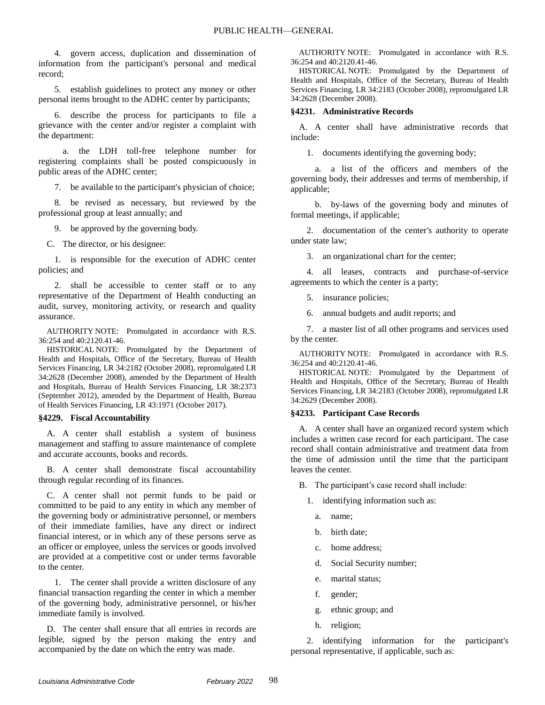4. govern access, duplication and dissemination of information from the participant's personal and medical record;

5. establish guidelines to protect any money or other personal items brought to the ADHC center by participants;

6. describe the process for participants to file a grievance with the center and/or register a complaint with the department:

a. the LDH toll-free telephone number for registering complaints shall be posted conspicuously in public areas of the ADHC center;

7. be available to the participant's physician of choice;

8. be revised as necessary, but reviewed by the professional group at least annually; and

9. be approved by the governing body.

C. The director, or his designee:

1. is responsible for the execution of ADHC center policies; and

2. shall be accessible to center staff or to any representative of the Department of Health conducting an audit, survey, monitoring activity, or research and quality assurance.

AUTHORITY NOTE: Promulgated in accordance with R.S. 36:254 and 40:2120.41-46.

HISTORICAL NOTE: Promulgated by the Department of Health and Hospitals, Office of the Secretary, Bureau of Health Services Financing, LR 34:2182 (October 2008), repromulgated LR 34:2628 (December 2008), amended by the Department of Health and Hospitals, Bureau of Health Services Financing, LR 38:2373 (September 2012), amended by the Department of Health, Bureau of Health Services Financing, LR 43:1971 (October 2017).

#### **§4229. Fiscal Accountability**

A. A center shall establish a system of business management and staffing to assure maintenance of complete and accurate accounts, books and records.

B. A center shall demonstrate fiscal accountability through regular recording of its finances.

C. A center shall not permit funds to be paid or committed to be paid to any entity in which any member of the governing body or administrative personnel, or members of their immediate families, have any direct or indirect financial interest, or in which any of these persons serve as an officer or employee, unless the services or goods involved are provided at a competitive cost or under terms favorable to the center.

1. The center shall provide a written disclosure of any financial transaction regarding the center in which a member of the governing body, administrative personnel, or his/her immediate family is involved.

D. The center shall ensure that all entries in records are legible, signed by the person making the entry and accompanied by the date on which the entry was made.

AUTHORITY NOTE: Promulgated in accordance with R.S. 36:254 and 40:2120.41-46.

HISTORICAL NOTE: Promulgated by the Department of Health and Hospitals, Office of the Secretary, Bureau of Health Services Financing, LR 34:2183 (October 2008), repromulgated LR 34:2628 (December 2008).

#### **§4231. Administrative Records**

A. A center shall have administrative records that include:

1. documents identifying the governing body;

a. a list of the officers and members of the governing body, their addresses and terms of membership, if applicable;

b. by-laws of the governing body and minutes of formal meetings, if applicable;

2. documentation of the center's authority to operate under state law;

3. an organizational chart for the center;

4. all leases, contracts and purchase-of-service agreements to which the center is a party;

5. insurance policies;

6. annual budgets and audit reports; and

7. a master list of all other programs and services used by the center.

AUTHORITY NOTE: Promulgated in accordance with R.S. 36:254 and 40:2120.41-46.

HISTORICAL NOTE: Promulgated by the Department of Health and Hospitals, Office of the Secretary, Bureau of Health Services Financing, LR 34:2183 (October 2008), repromulgated LR 34:2629 (December 2008).

#### **§4233. Participant Case Records**

A. A center shall have an organized record system which includes a written case record for each participant. The case record shall contain administrative and treatment data from the time of admission until the time that the participant leaves the center.

B. The participant's case record shall include:

- 1. identifying information such as:
	- a. name;
	- b. birth date;
	- c. home address;
	- d. Social Security number;
	- e. marital status;
	- f. gender;
	- g. ethnic group; and
	- h. religion;

2. identifying information for the participant's personal representative, if applicable, such as: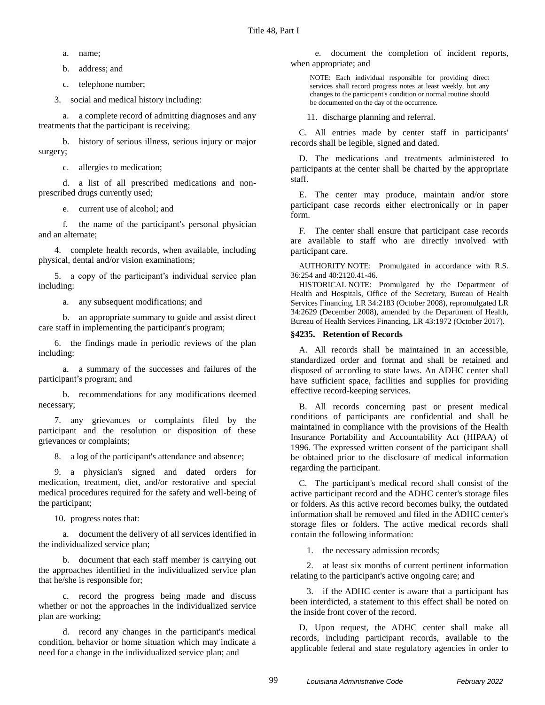a. name;

b. address; and

c. telephone number;

3. social and medical history including:

a. a complete record of admitting diagnoses and any treatments that the participant is receiving;

b. history of serious illness, serious injury or major surgery;

c. allergies to medication;

d. a list of all prescribed medications and nonprescribed drugs currently used;

e. current use of alcohol; and

f. the name of the participant's personal physician and an alternate;

4. complete health records, when available, including physical, dental and/or vision examinations;

5. a copy of the participant's individual service plan including:

a. any subsequent modifications; and

b. an appropriate summary to guide and assist direct care staff in implementing the participant's program;

6. the findings made in periodic reviews of the plan including:

a. a summary of the successes and failures of the participant's program; and

b. recommendations for any modifications deemed necessary;

7. any grievances or complaints filed by the participant and the resolution or disposition of these grievances or complaints;

8. a log of the participant's attendance and absence;

9. a physician's signed and dated orders for medication, treatment, diet, and/or restorative and special medical procedures required for the safety and well-being of the participant;

10. progress notes that:

a. document the delivery of all services identified in the individualized service plan;

b. document that each staff member is carrying out the approaches identified in the individualized service plan that he/she is responsible for;

c. record the progress being made and discuss whether or not the approaches in the individualized service plan are working;

d. record any changes in the participant's medical condition, behavior or home situation which may indicate a need for a change in the individualized service plan; and

e. document the completion of incident reports, when appropriate; and

NOTE: Each individual responsible for providing direct services shall record progress notes at least weekly, but any changes to the participant's condition or normal routine should be documented on the day of the occurrence.

11. discharge planning and referral.

C. All entries made by center staff in participants' records shall be legible, signed and dated.

D. The medications and treatments administered to participants at the center shall be charted by the appropriate staff.

E. The center may produce, maintain and/or store participant case records either electronically or in paper form.

F. The center shall ensure that participant case records are available to staff who are directly involved with participant care.

AUTHORITY NOTE: Promulgated in accordance with R.S. 36:254 and 40:2120.41-46.

HISTORICAL NOTE: Promulgated by the Department of Health and Hospitals, Office of the Secretary, Bureau of Health Services Financing, LR 34:2183 (October 2008), repromulgated LR 34:2629 (December 2008), amended by the Department of Health, Bureau of Health Services Financing, LR 43:1972 (October 2017).

## **§4235. Retention of Records**

A. All records shall be maintained in an accessible, standardized order and format and shall be retained and disposed of according to state laws. An ADHC center shall have sufficient space, facilities and supplies for providing effective record-keeping services.

B. All records concerning past or present medical conditions of participants are confidential and shall be maintained in compliance with the provisions of the Health Insurance Portability and Accountability Act (HIPAA) of 1996. The expressed written consent of the participant shall be obtained prior to the disclosure of medical information regarding the participant.

C. The participant's medical record shall consist of the active participant record and the ADHC center's storage files or folders. As this active record becomes bulky, the outdated information shall be removed and filed in the ADHC center's storage files or folders. The active medical records shall contain the following information:

1. the necessary admission records;

2. at least six months of current pertinent information relating to the participant's active ongoing care; and

3. if the ADHC center is aware that a participant has been interdicted, a statement to this effect shall be noted on the inside front cover of the record.

D. Upon request, the ADHC center shall make all records, including participant records, available to the applicable federal and state regulatory agencies in order to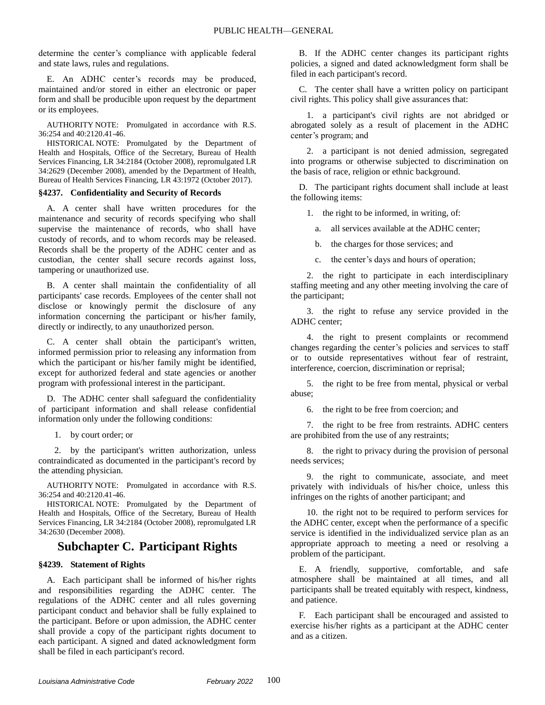determine the center's compliance with applicable federal and state laws, rules and regulations.

E. An ADHC center's records may be produced, maintained and/or stored in either an electronic or paper form and shall be producible upon request by the department or its employees.

AUTHORITY NOTE: Promulgated in accordance with R.S. 36:254 and 40:2120.41-46.

HISTORICAL NOTE: Promulgated by the Department of Health and Hospitals, Office of the Secretary, Bureau of Health Services Financing, LR 34:2184 (October 2008), repromulgated LR 34:2629 (December 2008), amended by the Department of Health, Bureau of Health Services Financing, LR 43:1972 (October 2017).

#### **§4237. Confidentiality and Security of Records**

A. A center shall have written procedures for the maintenance and security of records specifying who shall supervise the maintenance of records, who shall have custody of records, and to whom records may be released. Records shall be the property of the ADHC center and as custodian, the center shall secure records against loss, tampering or unauthorized use.

B. A center shall maintain the confidentiality of all participants' case records. Employees of the center shall not disclose or knowingly permit the disclosure of any information concerning the participant or his/her family, directly or indirectly, to any unauthorized person.

C. A center shall obtain the participant's written, informed permission prior to releasing any information from which the participant or his/her family might be identified, except for authorized federal and state agencies or another program with professional interest in the participant.

D. The ADHC center shall safeguard the confidentiality of participant information and shall release confidential information only under the following conditions:

1. by court order; or

2. by the participant's written authorization, unless contraindicated as documented in the participant's record by the attending physician.

AUTHORITY NOTE: Promulgated in accordance with R.S. 36:254 and 40:2120.41-46.

HISTORICAL NOTE: Promulgated by the Department of Health and Hospitals, Office of the Secretary, Bureau of Health Services Financing, LR 34:2184 (October 2008), repromulgated LR 34:2630 (December 2008).

## **Subchapter C. Participant Rights**

#### **§4239. Statement of Rights**

A. Each participant shall be informed of his/her rights and responsibilities regarding the ADHC center. The regulations of the ADHC center and all rules governing participant conduct and behavior shall be fully explained to the participant. Before or upon admission, the ADHC center shall provide a copy of the participant rights document to each participant. A signed and dated acknowledgment form shall be filed in each participant's record.

B. If the ADHC center changes its participant rights policies, a signed and dated acknowledgment form shall be filed in each participant's record.

C. The center shall have a written policy on participant civil rights. This policy shall give assurances that:

1. a participant's civil rights are not abridged or abrogated solely as a result of placement in the ADHC center's program; and

2. a participant is not denied admission, segregated into programs or otherwise subjected to discrimination on the basis of race, religion or ethnic background.

D. The participant rights document shall include at least the following items:

1. the right to be informed, in writing, of:

a. all services available at the ADHC center;

b. the charges for those services; and

c. the center's days and hours of operation;

2. the right to participate in each interdisciplinary staffing meeting and any other meeting involving the care of the participant;

3. the right to refuse any service provided in the ADHC center;

4. the right to present complaints or recommend changes regarding the center's policies and services to staff or to outside representatives without fear of restraint, interference, coercion, discrimination or reprisal;

5. the right to be free from mental, physical or verbal abuse;

6. the right to be free from coercion; and

7. the right to be free from restraints. ADHC centers are prohibited from the use of any restraints;

8. the right to privacy during the provision of personal needs services;

9. the right to communicate, associate, and meet privately with individuals of his/her choice, unless this infringes on the rights of another participant; and

10. the right not to be required to perform services for the ADHC center, except when the performance of a specific service is identified in the individualized service plan as an appropriate approach to meeting a need or resolving a problem of the participant.

E. A friendly, supportive, comfortable, and safe atmosphere shall be maintained at all times, and all participants shall be treated equitably with respect, kindness, and patience.

F. Each participant shall be encouraged and assisted to exercise his/her rights as a participant at the ADHC center and as a citizen.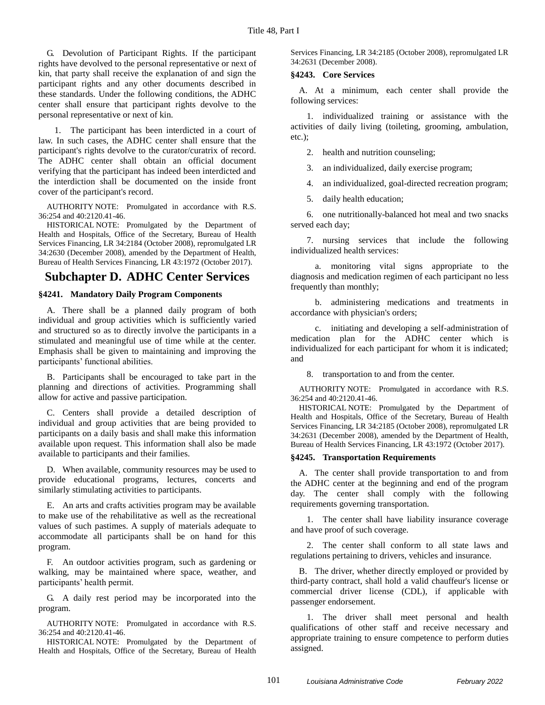G. Devolution of Participant Rights. If the participant rights have devolved to the personal representative or next of kin, that party shall receive the explanation of and sign the participant rights and any other documents described in these standards. Under the following conditions, the ADHC center shall ensure that participant rights devolve to the personal representative or next of kin.

1. The participant has been interdicted in a court of law. In such cases, the ADHC center shall ensure that the participant's rights devolve to the curator/curatrix of record. The ADHC center shall obtain an official document verifying that the participant has indeed been interdicted and the interdiction shall be documented on the inside front cover of the participant's record.

AUTHORITY NOTE: Promulgated in accordance with R.S. 36:254 and 40:2120.41-46.

HISTORICAL NOTE: Promulgated by the Department of Health and Hospitals, Office of the Secretary, Bureau of Health Services Financing, LR 34:2184 (October 2008), repromulgated LR 34:2630 (December 2008), amended by the Department of Health, Bureau of Health Services Financing, LR 43:1972 (October 2017).

# **Subchapter D. ADHC Center Services**

### **§4241. Mandatory Daily Program Components**

A. There shall be a planned daily program of both individual and group activities which is sufficiently varied and structured so as to directly involve the participants in a stimulated and meaningful use of time while at the center. Emphasis shall be given to maintaining and improving the participants' functional abilities.

B. Participants shall be encouraged to take part in the planning and directions of activities. Programming shall allow for active and passive participation.

C. Centers shall provide a detailed description of individual and group activities that are being provided to participants on a daily basis and shall make this information available upon request. This information shall also be made available to participants and their families.

D. When available, community resources may be used to provide educational programs, lectures, concerts and similarly stimulating activities to participants.

E. An arts and crafts activities program may be available to make use of the rehabilitative as well as the recreational values of such pastimes. A supply of materials adequate to accommodate all participants shall be on hand for this program.

F. An outdoor activities program, such as gardening or walking, may be maintained where space, weather, and participants' health permit.

G. A daily rest period may be incorporated into the program.

AUTHORITY NOTE: Promulgated in accordance with R.S. 36:254 and 40:2120.41-46.

HISTORICAL NOTE: Promulgated by the Department of Health and Hospitals, Office of the Secretary, Bureau of Health Services Financing, LR 34:2185 (October 2008), repromulgated LR 34:2631 (December 2008).

#### **§4243. Core Services**

A. At a minimum, each center shall provide the following services:

1. individualized training or assistance with the activities of daily living (toileting, grooming, ambulation, etc.);

2. health and nutrition counseling;

3. an individualized, daily exercise program;

4. an individualized, goal-directed recreation program;

5. daily health education;

6. one nutritionally-balanced hot meal and two snacks served each day;

7. nursing services that include the following individualized health services:

a. monitoring vital signs appropriate to the diagnosis and medication regimen of each participant no less frequently than monthly;

b. administering medications and treatments in accordance with physician's orders;

c. initiating and developing a self-administration of medication plan for the ADHC center which is individualized for each participant for whom it is indicated; and

8. transportation to and from the center.

AUTHORITY NOTE: Promulgated in accordance with R.S. 36:254 and 40:2120.41-46.

HISTORICAL NOTE: Promulgated by the Department of Health and Hospitals, Office of the Secretary, Bureau of Health Services Financing, LR 34:2185 (October 2008), repromulgated LR 34:2631 (December 2008), amended by the Department of Health, Bureau of Health Services Financing, LR 43:1972 (October 2017).

#### **§4245. Transportation Requirements**

A. The center shall provide transportation to and from the ADHC center at the beginning and end of the program day. The center shall comply with the following requirements governing transportation.

1. The center shall have liability insurance coverage and have proof of such coverage.

2. The center shall conform to all state laws and regulations pertaining to drivers, vehicles and insurance.

B. The driver, whether directly employed or provided by third-party contract, shall hold a valid chauffeur's license or commercial driver license (CDL), if applicable with passenger endorsement.

1. The driver shall meet personal and health qualifications of other staff and receive necessary and appropriate training to ensure competence to perform duties assigned.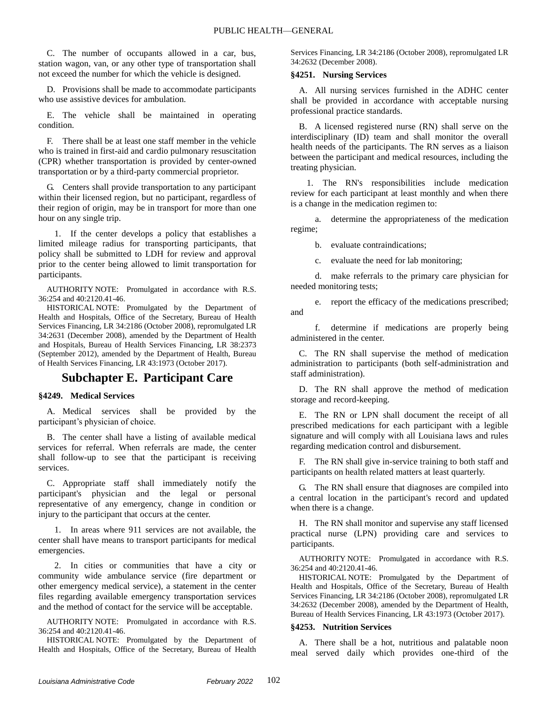C. The number of occupants allowed in a car, bus, station wagon, van, or any other type of transportation shall not exceed the number for which the vehicle is designed.

D. Provisions shall be made to accommodate participants who use assistive devices for ambulation.

E. The vehicle shall be maintained in operating condition.

F. There shall be at least one staff member in the vehicle who is trained in first-aid and cardio pulmonary resuscitation (CPR) whether transportation is provided by center-owned transportation or by a third-party commercial proprietor.

G. Centers shall provide transportation to any participant within their licensed region, but no participant, regardless of their region of origin, may be in transport for more than one hour on any single trip.

1. If the center develops a policy that establishes a limited mileage radius for transporting participants, that policy shall be submitted to LDH for review and approval prior to the center being allowed to limit transportation for participants.

AUTHORITY NOTE: Promulgated in accordance with R.S. 36:254 and 40:2120.41-46.

HISTORICAL NOTE: Promulgated by the Department of Health and Hospitals, Office of the Secretary, Bureau of Health Services Financing, LR 34:2186 (October 2008), repromulgated LR 34:2631 (December 2008), amended by the Department of Health and Hospitals, Bureau of Health Services Financing, LR 38:2373 (September 2012), amended by the Department of Health, Bureau of Health Services Financing, LR 43:1973 (October 2017).

# **Subchapter E. Participant Care**

## **§4249. Medical Services**

A. Medical services shall be provided by the participant's physician of choice.

B. The center shall have a listing of available medical services for referral. When referrals are made, the center shall follow-up to see that the participant is receiving services.

C. Appropriate staff shall immediately notify the participant's physician and the legal or personal representative of any emergency, change in condition or injury to the participant that occurs at the center.

1. In areas where 911 services are not available, the center shall have means to transport participants for medical emergencies.

2. In cities or communities that have a city or community wide ambulance service (fire department or other emergency medical service), a statement in the center files regarding available emergency transportation services and the method of contact for the service will be acceptable.

AUTHORITY NOTE: Promulgated in accordance with R.S. 36:254 and 40:2120.41-46.

HISTORICAL NOTE: Promulgated by the Department of Health and Hospitals, Office of the Secretary, Bureau of Health Services Financing, LR 34:2186 (October 2008), repromulgated LR 34:2632 (December 2008).

#### **§4251. Nursing Services**

A. All nursing services furnished in the ADHC center shall be provided in accordance with acceptable nursing professional practice standards.

B. A licensed registered nurse (RN) shall serve on the interdisciplinary (ID) team and shall monitor the overall health needs of the participants. The RN serves as a liaison between the participant and medical resources, including the treating physician.

1. The RN's responsibilities include medication review for each participant at least monthly and when there is a change in the medication regimen to:

a. determine the appropriateness of the medication regime;

b. evaluate contraindications;

c. evaluate the need for lab monitoring;

d. make referrals to the primary care physician for needed monitoring tests;

e. report the efficacy of the medications prescribed; and

f. determine if medications are properly being administered in the center.

C. The RN shall supervise the method of medication administration to participants (both self-administration and staff administration).

D. The RN shall approve the method of medication storage and record-keeping.

E. The RN or LPN shall document the receipt of all prescribed medications for each participant with a legible signature and will comply with all Louisiana laws and rules regarding medication control and disbursement.

F. The RN shall give in-service training to both staff and participants on health related matters at least quarterly.

G. The RN shall ensure that diagnoses are compiled into a central location in the participant's record and updated when there is a change.

H. The RN shall monitor and supervise any staff licensed practical nurse (LPN) providing care and services to participants.

AUTHORITY NOTE: Promulgated in accordance with R.S. 36:254 and 40:2120.41-46.

HISTORICAL NOTE: Promulgated by the Department of Health and Hospitals, Office of the Secretary, Bureau of Health Services Financing, LR 34:2186 (October 2008), repromulgated LR 34:2632 (December 2008), amended by the Department of Health, Bureau of Health Services Financing, LR 43:1973 (October 2017).

#### **§4253. Nutrition Services**

A. There shall be a hot, nutritious and palatable noon meal served daily which provides one-third of the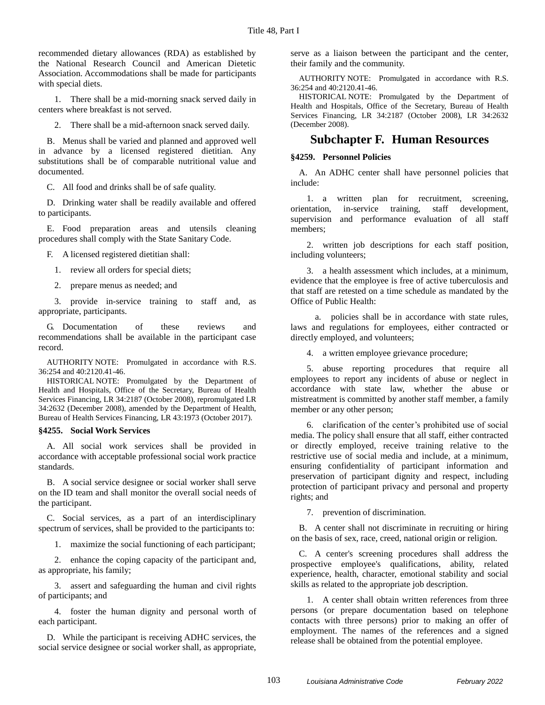recommended dietary allowances (RDA) as established by the National Research Council and American Dietetic Association. Accommodations shall be made for participants with special diets.

1. There shall be a mid-morning snack served daily in centers where breakfast is not served.

2. There shall be a mid-afternoon snack served daily.

B. Menus shall be varied and planned and approved well in advance by a licensed registered dietitian. Any substitutions shall be of comparable nutritional value and documented.

C. All food and drinks shall be of safe quality.

D. Drinking water shall be readily available and offered to participants.

E. Food preparation areas and utensils cleaning procedures shall comply with the State Sanitary Code.

F. A licensed registered dietitian shall:

1. review all orders for special diets;

2. prepare menus as needed; and

3. provide in-service training to staff and, as appropriate, participants.

G. Documentation of these reviews and recommendations shall be available in the participant case record.

AUTHORITY NOTE: Promulgated in accordance with R.S. 36:254 and 40:2120.41-46.

HISTORICAL NOTE: Promulgated by the Department of Health and Hospitals, Office of the Secretary, Bureau of Health Services Financing, LR 34:2187 (October 2008), repromulgated LR 34:2632 (December 2008), amended by the Department of Health, Bureau of Health Services Financing, LR 43:1973 (October 2017).

#### **§4255. Social Work Services**

A. All social work services shall be provided in accordance with acceptable professional social work practice standards.

B. A social service designee or social worker shall serve on the ID team and shall monitor the overall social needs of the participant.

C. Social services, as a part of an interdisciplinary spectrum of services, shall be provided to the participants to:

1. maximize the social functioning of each participant;

2. enhance the coping capacity of the participant and, as appropriate, his family;

3. assert and safeguarding the human and civil rights of participants; and

4. foster the human dignity and personal worth of each participant.

D. While the participant is receiving ADHC services, the social service designee or social worker shall, as appropriate, serve as a liaison between the participant and the center, their family and the community.

AUTHORITY NOTE: Promulgated in accordance with R.S. 36:254 and 40:2120.41-46.

HISTORICAL NOTE: Promulgated by the Department of Health and Hospitals, Office of the Secretary, Bureau of Health Services Financing, LR 34:2187 (October 2008), LR 34:2632 (December 2008).

## **Subchapter F. Human Resources**

### **§4259. Personnel Policies**

A. An ADHC center shall have personnel policies that include:

1. a written plan for recruitment, screening, orientation, in-service training, staff development, supervision and performance evaluation of all staff members;

2. written job descriptions for each staff position, including volunteers;

3. a health assessment which includes, at a minimum, evidence that the employee is free of active tuberculosis and that staff are retested on a time schedule as mandated by the Office of Public Health:

a. policies shall be in accordance with state rules, laws and regulations for employees, either contracted or directly employed, and volunteers;

4. a written employee grievance procedure;

5. abuse reporting procedures that require all employees to report any incidents of abuse or neglect in accordance with state law, whether the abuse or mistreatment is committed by another staff member, a family member or any other person;

6. clarification of the center's prohibited use of social media. The policy shall ensure that all staff, either contracted or directly employed, receive training relative to the restrictive use of social media and include, at a minimum, ensuring confidentiality of participant information and preservation of participant dignity and respect, including protection of participant privacy and personal and property rights; and

7. prevention of discrimination.

B. A center shall not discriminate in recruiting or hiring on the basis of sex, race, creed, national origin or religion.

C. A center's screening procedures shall address the prospective employee's qualifications, ability, related experience, health, character, emotional stability and social skills as related to the appropriate job description.

1. A center shall obtain written references from three persons (or prepare documentation based on telephone contacts with three persons) prior to making an offer of employment. The names of the references and a signed release shall be obtained from the potential employee.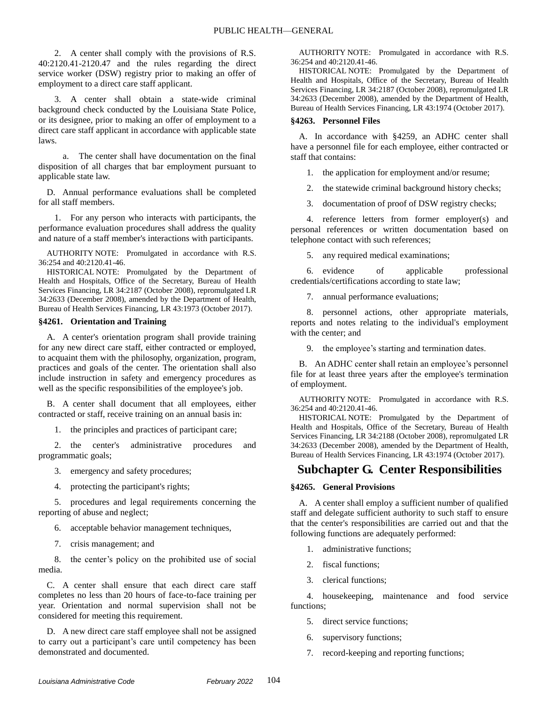2. A center shall comply with the provisions of R.S. 40:2120.41-2120.47 and the rules regarding the direct service worker (DSW) registry prior to making an offer of employment to a direct care staff applicant.

3. A center shall obtain a state-wide criminal background check conducted by the Louisiana State Police, or its designee, prior to making an offer of employment to a direct care staff applicant in accordance with applicable state laws.

a. The center shall have documentation on the final disposition of all charges that bar employment pursuant to applicable state law.

D. Annual performance evaluations shall be completed for all staff members.

1. For any person who interacts with participants, the performance evaluation procedures shall address the quality and nature of a staff member's interactions with participants.

AUTHORITY NOTE: Promulgated in accordance with R.S. 36:254 and 40:2120.41-46.

HISTORICAL NOTE: Promulgated by the Department of Health and Hospitals, Office of the Secretary, Bureau of Health Services Financing, LR 34:2187 (October 2008), repromulgated LR 34:2633 (December 2008), amended by the Department of Health, Bureau of Health Services Financing, LR 43:1973 (October 2017).

#### **§4261. Orientation and Training**

A. A center's orientation program shall provide training for any new direct care staff, either contracted or employed, to acquaint them with the philosophy, organization, program, practices and goals of the center. The orientation shall also include instruction in safety and emergency procedures as well as the specific responsibilities of the employee's job.

B. A center shall document that all employees, either contracted or staff, receive training on an annual basis in:

1. the principles and practices of participant care;

2. the center's administrative procedures and programmatic goals;

- 3. emergency and safety procedures;
- 4. protecting the participant's rights;

5. procedures and legal requirements concerning the reporting of abuse and neglect;

6. acceptable behavior management techniques,

7. crisis management; and

8. the center's policy on the prohibited use of social media.

C. A center shall ensure that each direct care staff completes no less than 20 hours of face-to-face training per year. Orientation and normal supervision shall not be considered for meeting this requirement.

D. A new direct care staff employee shall not be assigned to carry out a participant's care until competency has been demonstrated and documented.

AUTHORITY NOTE: Promulgated in accordance with R.S. 36:254 and 40:2120.41-46.

HISTORICAL NOTE: Promulgated by the Department of Health and Hospitals, Office of the Secretary, Bureau of Health Services Financing, LR 34:2187 (October 2008), repromulgated LR 34:2633 (December 2008), amended by the Department of Health, Bureau of Health Services Financing, LR 43:1974 (October 2017).

#### **§4263. Personnel Files**

A. In accordance with §4259, an ADHC center shall have a personnel file for each employee, either contracted or staff that contains:

1. the application for employment and/or resume;

2. the statewide criminal background history checks;

3. documentation of proof of DSW registry checks;

4. reference letters from former employer(s) and personal references or written documentation based on telephone contact with such references;

5. any required medical examinations;

6. evidence of applicable professional credentials/certifications according to state law;

7. annual performance evaluations;

8. personnel actions, other appropriate materials, reports and notes relating to the individual's employment with the center; and

9. the employee's starting and termination dates.

B. An ADHC center shall retain an employee's personnel file for at least three years after the employee's termination of employment.

AUTHORITY NOTE: Promulgated in accordance with R.S. 36:254 and 40:2120.41-46.

HISTORICAL NOTE: Promulgated by the Department of Health and Hospitals, Office of the Secretary, Bureau of Health Services Financing, LR 34:2188 (October 2008), repromulgated LR 34:2633 (December 2008), amended by the Department of Health, Bureau of Health Services Financing, LR 43:1974 (October 2017).

# **Subchapter G. Center Responsibilities**

## **§4265. General Provisions**

A. A center shall employ a sufficient number of qualified staff and delegate sufficient authority to such staff to ensure that the center's responsibilities are carried out and that the following functions are adequately performed:

- 1. administrative functions;
- 2. fiscal functions;
- 3. clerical functions;

4. housekeeping, maintenance and food service functions;

- 5. direct service functions;
- 6. supervisory functions;
- 7. record-keeping and reporting functions;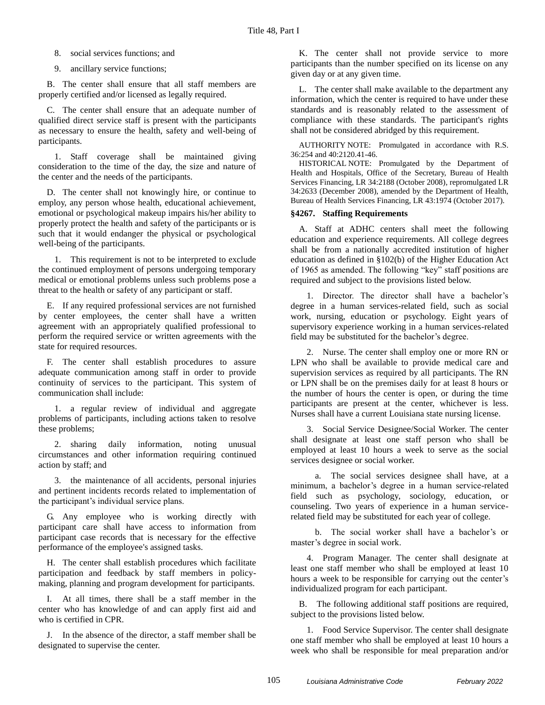8. social services functions; and

9. ancillary service functions;

B. The center shall ensure that all staff members are properly certified and/or licensed as legally required.

C. The center shall ensure that an adequate number of qualified direct service staff is present with the participants as necessary to ensure the health, safety and well-being of participants.

1. Staff coverage shall be maintained giving consideration to the time of the day, the size and nature of the center and the needs of the participants.

D. The center shall not knowingly hire, or continue to employ, any person whose health, educational achievement, emotional or psychological makeup impairs his/her ability to properly protect the health and safety of the participants or is such that it would endanger the physical or psychological well-being of the participants.

1. This requirement is not to be interpreted to exclude the continued employment of persons undergoing temporary medical or emotional problems unless such problems pose a threat to the health or safety of any participant or staff.

E. If any required professional services are not furnished by center employees, the center shall have a written agreement with an appropriately qualified professional to perform the required service or written agreements with the state for required resources.

F. The center shall establish procedures to assure adequate communication among staff in order to provide continuity of services to the participant. This system of communication shall include:

1. a regular review of individual and aggregate problems of participants, including actions taken to resolve these problems;

2. sharing daily information, noting unusual circumstances and other information requiring continued action by staff; and

3. the maintenance of all accidents, personal injuries and pertinent incidents records related to implementation of the participant's individual service plans.

G. Any employee who is working directly with participant care shall have access to information from participant case records that is necessary for the effective performance of the employee's assigned tasks.

H. The center shall establish procedures which facilitate participation and feedback by staff members in policymaking, planning and program development for participants.

I. At all times, there shall be a staff member in the center who has knowledge of and can apply first aid and who is certified in CPR.

J. In the absence of the director, a staff member shall be designated to supervise the center.

K. The center shall not provide service to more participants than the number specified on its license on any given day or at any given time.

L. The center shall make available to the department any information, which the center is required to have under these standards and is reasonably related to the assessment of compliance with these standards. The participant's rights shall not be considered abridged by this requirement.

AUTHORITY NOTE: Promulgated in accordance with R.S. 36:254 and 40:2120.41-46.

HISTORICAL NOTE: Promulgated by the Department of Health and Hospitals, Office of the Secretary, Bureau of Health Services Financing, LR 34:2188 (October 2008), repromulgated LR 34:2633 (December 2008), amended by the Department of Health, Bureau of Health Services Financing, LR 43:1974 (October 2017).

#### **§4267. Staffing Requirements**

A. Staff at ADHC centers shall meet the following education and experience requirements. All college degrees shall be from a nationally accredited institution of higher education as defined in §102(b) of the Higher Education Act of 1965 as amended. The following "key" staff positions are required and subject to the provisions listed below.

1. Director. The director shall have a bachelor's degree in a human services-related field, such as social work, nursing, education or psychology. Eight years of supervisory experience working in a human services-related field may be substituted for the bachelor's degree.

2. Nurse. The center shall employ one or more RN or LPN who shall be available to provide medical care and supervision services as required by all participants. The RN or LPN shall be on the premises daily for at least 8 hours or the number of hours the center is open, or during the time participants are present at the center, whichever is less. Nurses shall have a current Louisiana state nursing license.

3. Social Service Designee/Social Worker. The center shall designate at least one staff person who shall be employed at least 10 hours a week to serve as the social services designee or social worker.

a. The social services designee shall have, at a minimum, a bachelor's degree in a human service-related field such as psychology, sociology, education, or counseling. Two years of experience in a human servicerelated field may be substituted for each year of college.

b. The social worker shall have a bachelor's or master's degree in social work.

4. Program Manager. The center shall designate at least one staff member who shall be employed at least 10 hours a week to be responsible for carrying out the center's individualized program for each participant.

B. The following additional staff positions are required, subject to the provisions listed below.

1. Food Service Supervisor. The center shall designate one staff member who shall be employed at least 10 hours a week who shall be responsible for meal preparation and/or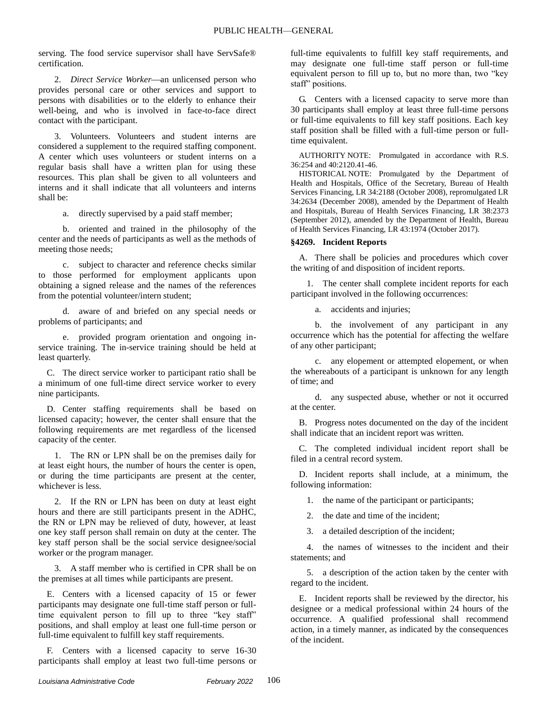serving. The food service supervisor shall have ServSafe® certification.

2. *Direct Service Worker*—an unlicensed person who provides personal care or other services and support to persons with disabilities or to the elderly to enhance their well-being, and who is involved in face-to-face direct contact with the participant.

3. Volunteers. Volunteers and student interns are considered a supplement to the required staffing component. A center which uses volunteers or student interns on a regular basis shall have a written plan for using these resources. This plan shall be given to all volunteers and interns and it shall indicate that all volunteers and interns shall be:

a. directly supervised by a paid staff member;

b. oriented and trained in the philosophy of the center and the needs of participants as well as the methods of meeting those needs;

c. subject to character and reference checks similar to those performed for employment applicants upon obtaining a signed release and the names of the references from the potential volunteer/intern student;

d. aware of and briefed on any special needs or problems of participants; and

e. provided program orientation and ongoing inservice training. The in-service training should be held at least quarterly.

C. The direct service worker to participant ratio shall be a minimum of one full-time direct service worker to every nine participants.

D. Center staffing requirements shall be based on licensed capacity; however, the center shall ensure that the following requirements are met regardless of the licensed capacity of the center.

1. The RN or LPN shall be on the premises daily for at least eight hours, the number of hours the center is open, or during the time participants are present at the center, whichever is less.

2. If the RN or LPN has been on duty at least eight hours and there are still participants present in the ADHC, the RN or LPN may be relieved of duty, however, at least one key staff person shall remain on duty at the center. The key staff person shall be the social service designee/social worker or the program manager.

3. A staff member who is certified in CPR shall be on the premises at all times while participants are present.

E. Centers with a licensed capacity of 15 or fewer participants may designate one full-time staff person or fulltime equivalent person to fill up to three "key staff" positions, and shall employ at least one full-time person or full-time equivalent to fulfill key staff requirements.

F. Centers with a licensed capacity to serve 16-30 participants shall employ at least two full-time persons or full-time equivalents to fulfill key staff requirements, and may designate one full-time staff person or full-time equivalent person to fill up to, but no more than, two "key staff" positions.

G. Centers with a licensed capacity to serve more than 30 participants shall employ at least three full-time persons or full-time equivalents to fill key staff positions. Each key staff position shall be filled with a full-time person or fulltime equivalent.

AUTHORITY NOTE: Promulgated in accordance with R.S. 36:254 and 40:2120.41-46.

HISTORICAL NOTE: Promulgated by the Department of Health and Hospitals, Office of the Secretary, Bureau of Health Services Financing, LR 34:2188 (October 2008), repromulgated LR 34:2634 (December 2008), amended by the Department of Health and Hospitals, Bureau of Health Services Financing, LR 38:2373 (September 2012), amended by the Department of Health, Bureau of Health Services Financing, LR 43:1974 (October 2017).

## **§4269. Incident Reports**

A. There shall be policies and procedures which cover the writing of and disposition of incident reports.

1. The center shall complete incident reports for each participant involved in the following occurrences:

a. accidents and injuries;

b. the involvement of any participant in any occurrence which has the potential for affecting the welfare of any other participant;

c. any elopement or attempted elopement, or when the whereabouts of a participant is unknown for any length of time; and

d. any suspected abuse, whether or not it occurred at the center.

B. Progress notes documented on the day of the incident shall indicate that an incident report was written.

C. The completed individual incident report shall be filed in a central record system.

D. Incident reports shall include, at a minimum, the following information:

1. the name of the participant or participants;

2. the date and time of the incident;

3. a detailed description of the incident;

4. the names of witnesses to the incident and their statements; and

5. a description of the action taken by the center with regard to the incident.

E. Incident reports shall be reviewed by the director, his designee or a medical professional within 24 hours of the occurrence. A qualified professional shall recommend action, in a timely manner, as indicated by the consequences of the incident.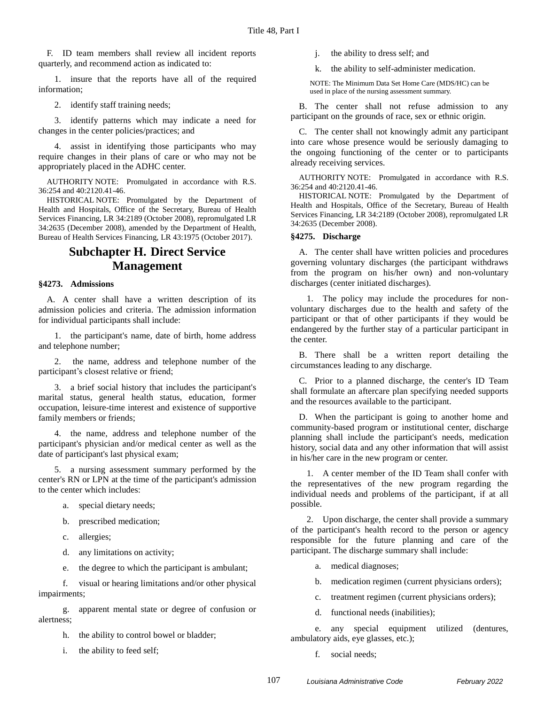F. ID team members shall review all incident reports quarterly, and recommend action as indicated to:

1. insure that the reports have all of the required information;

2. identify staff training needs;

3. identify patterns which may indicate a need for changes in the center policies/practices; and

4. assist in identifying those participants who may require changes in their plans of care or who may not be appropriately placed in the ADHC center.

AUTHORITY NOTE: Promulgated in accordance with R.S. 36:254 and 40:2120.41-46.

HISTORICAL NOTE: Promulgated by the Department of Health and Hospitals, Office of the Secretary, Bureau of Health Services Financing, LR 34:2189 (October 2008), repromulgated LR 34:2635 (December 2008), amended by the Department of Health, Bureau of Health Services Financing, LR 43:1975 (October 2017).

# **Subchapter H. Direct Service Management**

#### **§4273. Admissions**

A. A center shall have a written description of its admission policies and criteria. The admission information for individual participants shall include:

1. the participant's name, date of birth, home address and telephone number;

the name, address and telephone number of the participant's closest relative or friend;

3. a brief social history that includes the participant's marital status, general health status, education, former occupation, leisure-time interest and existence of supportive family members or friends;

4. the name, address and telephone number of the participant's physician and/or medical center as well as the date of participant's last physical exam;

5. a nursing assessment summary performed by the center's RN or LPN at the time of the participant's admission to the center which includes:

a. special dietary needs;

b. prescribed medication;

c. allergies;

d. any limitations on activity;

e. the degree to which the participant is ambulant;

f. visual or hearing limitations and/or other physical impairments;

g. apparent mental state or degree of confusion or alertness;

h. the ability to control bowel or bladder;

i. the ability to feed self;

j. the ability to dress self; and

k. the ability to self-administer medication.

NOTE: The Minimum Data Set Home Care (MDS/HC) can be used in place of the nursing assessment summary.

B. The center shall not refuse admission to any participant on the grounds of race, sex or ethnic origin.

C. The center shall not knowingly admit any participant into care whose presence would be seriously damaging to the ongoing functioning of the center or to participants already receiving services.

AUTHORITY NOTE: Promulgated in accordance with R.S. 36:254 and 40:2120.41-46.

HISTORICAL NOTE: Promulgated by the Department of Health and Hospitals, Office of the Secretary, Bureau of Health Services Financing, LR 34:2189 (October 2008), repromulgated LR 34:2635 (December 2008).

#### **§4275. Discharge**

A. The center shall have written policies and procedures governing voluntary discharges (the participant withdraws from the program on his/her own) and non-voluntary discharges (center initiated discharges).

1. The policy may include the procedures for nonvoluntary discharges due to the health and safety of the participant or that of other participants if they would be endangered by the further stay of a particular participant in the center.

B. There shall be a written report detailing the circumstances leading to any discharge.

C. Prior to a planned discharge, the center's ID Team shall formulate an aftercare plan specifying needed supports and the resources available to the participant.

D. When the participant is going to another home and community-based program or institutional center, discharge planning shall include the participant's needs, medication history, social data and any other information that will assist in his/her care in the new program or center.

1. A center member of the ID Team shall confer with the representatives of the new program regarding the individual needs and problems of the participant, if at all possible.

2. Upon discharge, the center shall provide a summary of the participant's health record to the person or agency responsible for the future planning and care of the participant. The discharge summary shall include:

a. medical diagnoses;

b. medication regimen (current physicians orders);

c. treatment regimen (current physicians orders);

d. functional needs (inabilities);

e. any special equipment utilized (dentures, ambulatory aids, eye glasses, etc.);

f. social needs;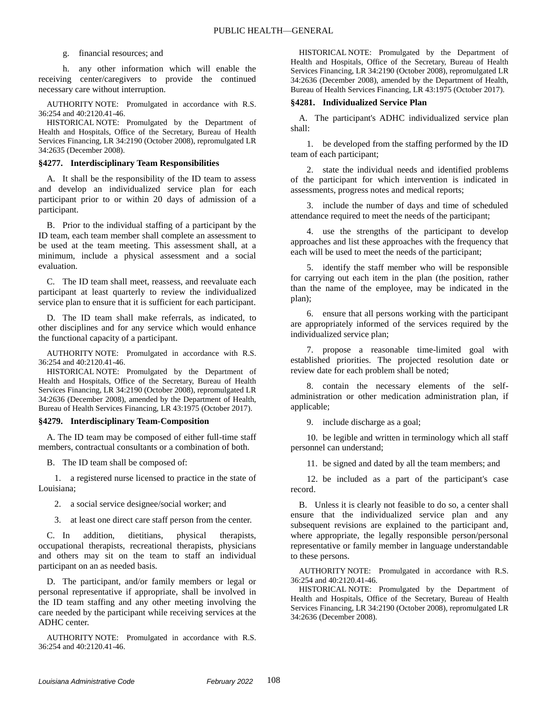#### g. financial resources; and

h. any other information which will enable the receiving center/caregivers to provide the continued necessary care without interruption.

AUTHORITY NOTE: Promulgated in accordance with R.S. 36:254 and 40:2120.41-46.

HISTORICAL NOTE: Promulgated by the Department of Health and Hospitals, Office of the Secretary, Bureau of Health Services Financing, LR 34:2190 (October 2008), repromulgated LR 34:2635 (December 2008).

#### **§4277. Interdisciplinary Team Responsibilities**

A. It shall be the responsibility of the ID team to assess and develop an individualized service plan for each participant prior to or within 20 days of admission of a participant.

B. Prior to the individual staffing of a participant by the ID team, each team member shall complete an assessment to be used at the team meeting. This assessment shall, at a minimum, include a physical assessment and a social evaluation.

C. The ID team shall meet, reassess, and reevaluate each participant at least quarterly to review the individualized service plan to ensure that it is sufficient for each participant.

D. The ID team shall make referrals, as indicated, to other disciplines and for any service which would enhance the functional capacity of a participant.

AUTHORITY NOTE: Promulgated in accordance with R.S. 36:254 and 40:2120.41-46.

HISTORICAL NOTE: Promulgated by the Department of Health and Hospitals, Office of the Secretary, Bureau of Health Services Financing, LR 34:2190 (October 2008), repromulgated LR 34:2636 (December 2008), amended by the Department of Health, Bureau of Health Services Financing, LR 43:1975 (October 2017).

#### **§4279. Interdisciplinary Team-Composition**

A. The ID team may be composed of either full-time staff members, contractual consultants or a combination of both.

B. The ID team shall be composed of:

1. a registered nurse licensed to practice in the state of Louisiana;

2. a social service designee/social worker; and

3. at least one direct care staff person from the center.

C. In addition, dietitians, physical therapists, occupational therapists, recreational therapists, physicians and others may sit on the team to staff an individual participant on an as needed basis.

D. The participant, and/or family members or legal or personal representative if appropriate, shall be involved in the ID team staffing and any other meeting involving the care needed by the participant while receiving services at the ADHC center.

AUTHORITY NOTE: Promulgated in accordance with R.S. 36:254 and 40:2120.41-46.

HISTORICAL NOTE: Promulgated by the Department of Health and Hospitals, Office of the Secretary, Bureau of Health Services Financing, LR 34:2190 (October 2008), repromulgated LR 34:2636 (December 2008), amended by the Department of Health, Bureau of Health Services Financing, LR 43:1975 (October 2017).

#### **§4281. Individualized Service Plan**

A. The participant's ADHC individualized service plan shall:

1. be developed from the staffing performed by the ID team of each participant;

2. state the individual needs and identified problems of the participant for which intervention is indicated in assessments, progress notes and medical reports;

3. include the number of days and time of scheduled attendance required to meet the needs of the participant;

4. use the strengths of the participant to develop approaches and list these approaches with the frequency that each will be used to meet the needs of the participant;

5. identify the staff member who will be responsible for carrying out each item in the plan (the position, rather than the name of the employee, may be indicated in the plan);

6. ensure that all persons working with the participant are appropriately informed of the services required by the individualized service plan;

7. propose a reasonable time-limited goal with established priorities. The projected resolution date or review date for each problem shall be noted;

8. contain the necessary elements of the selfadministration or other medication administration plan, if applicable;

9. include discharge as a goal;

10. be legible and written in terminology which all staff personnel can understand;

11. be signed and dated by all the team members; and

12. be included as a part of the participant's case record.

B. Unless it is clearly not feasible to do so, a center shall ensure that the individualized service plan and any subsequent revisions are explained to the participant and, where appropriate, the legally responsible person/personal representative or family member in language understandable to these persons.

AUTHORITY NOTE: Promulgated in accordance with R.S. 36:254 and 40:2120.41-46.

HISTORICAL NOTE: Promulgated by the Department of Health and Hospitals, Office of the Secretary, Bureau of Health Services Financing, LR 34:2190 (October 2008), repromulgated LR 34:2636 (December 2008).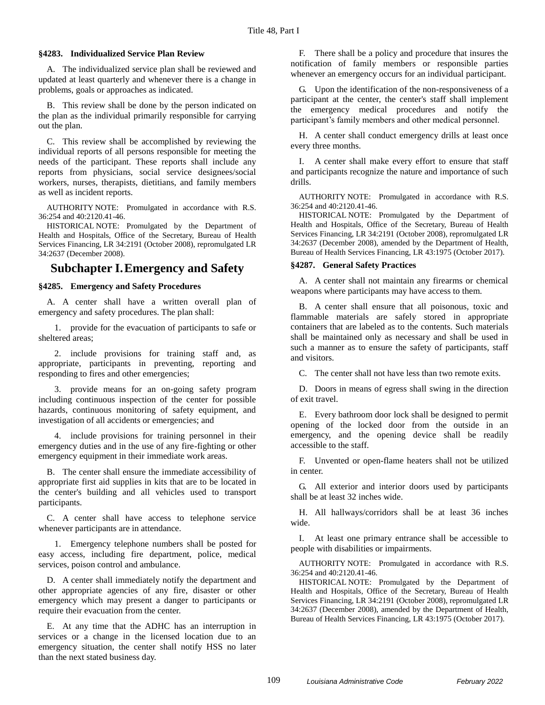#### **§4283. Individualized Service Plan Review**

A. The individualized service plan shall be reviewed and updated at least quarterly and whenever there is a change in problems, goals or approaches as indicated.

B. This review shall be done by the person indicated on the plan as the individual primarily responsible for carrying out the plan.

C. This review shall be accomplished by reviewing the individual reports of all persons responsible for meeting the needs of the participant. These reports shall include any reports from physicians, social service designees/social workers, nurses, therapists, dietitians, and family members as well as incident reports.

AUTHORITY NOTE: Promulgated in accordance with R.S. 36:254 and 40:2120.41-46.

HISTORICAL NOTE: Promulgated by the Department of Health and Hospitals, Office of the Secretary, Bureau of Health Services Financing, LR 34:2191 (October 2008), repromulgated LR 34:2637 (December 2008).

# **Subchapter I.Emergency and Safety**

#### **§4285. Emergency and Safety Procedures**

A. A center shall have a written overall plan of emergency and safety procedures. The plan shall:

1. provide for the evacuation of participants to safe or sheltered areas;

2. include provisions for training staff and, as appropriate, participants in preventing, reporting and responding to fires and other emergencies;

3. provide means for an on-going safety program including continuous inspection of the center for possible hazards, continuous monitoring of safety equipment, and investigation of all accidents or emergencies; and

4. include provisions for training personnel in their emergency duties and in the use of any fire-fighting or other emergency equipment in their immediate work areas.

B. The center shall ensure the immediate accessibility of appropriate first aid supplies in kits that are to be located in the center's building and all vehicles used to transport participants.

C. A center shall have access to telephone service whenever participants are in attendance.

1. Emergency telephone numbers shall be posted for easy access, including fire department, police, medical services, poison control and ambulance.

D. A center shall immediately notify the department and other appropriate agencies of any fire, disaster or other emergency which may present a danger to participants or require their evacuation from the center.

E. At any time that the ADHC has an interruption in services or a change in the licensed location due to an emergency situation, the center shall notify HSS no later than the next stated business day.

F. There shall be a policy and procedure that insures the notification of family members or responsible parties whenever an emergency occurs for an individual participant.

G. Upon the identification of the non-responsiveness of a participant at the center, the center's staff shall implement the emergency medical procedures and notify the participant's family members and other medical personnel.

H. A center shall conduct emergency drills at least once every three months.

I. A center shall make every effort to ensure that staff and participants recognize the nature and importance of such drills.

AUTHORITY NOTE: Promulgated in accordance with R.S. 36:254 and 40:2120.41-46.

HISTORICAL NOTE: Promulgated by the Department of Health and Hospitals, Office of the Secretary, Bureau of Health Services Financing, LR 34:2191 (October 2008), repromulgated LR 34:2637 (December 2008), amended by the Department of Health, Bureau of Health Services Financing, LR 43:1975 (October 2017).

#### **§4287. General Safety Practices**

A. A center shall not maintain any firearms or chemical weapons where participants may have access to them.

B. A center shall ensure that all poisonous, toxic and flammable materials are safely stored in appropriate containers that are labeled as to the contents. Such materials shall be maintained only as necessary and shall be used in such a manner as to ensure the safety of participants, staff and visitors.

C. The center shall not have less than two remote exits.

D. Doors in means of egress shall swing in the direction of exit travel.

E. Every bathroom door lock shall be designed to permit opening of the locked door from the outside in an emergency, and the opening device shall be readily accessible to the staff.

F. Unvented or open-flame heaters shall not be utilized in center.

G. All exterior and interior doors used by participants shall be at least 32 inches wide.

H. All hallways/corridors shall be at least 36 inches wide.

I. At least one primary entrance shall be accessible to people with disabilities or impairments.

AUTHORITY NOTE: Promulgated in accordance with R.S. 36:254 and 40:2120.41-46.

HISTORICAL NOTE: Promulgated by the Department of Health and Hospitals, Office of the Secretary, Bureau of Health Services Financing, LR 34:2191 (October 2008), repromulgated LR 34:2637 (December 2008), amended by the Department of Health, Bureau of Health Services Financing, LR 43:1975 (October 2017).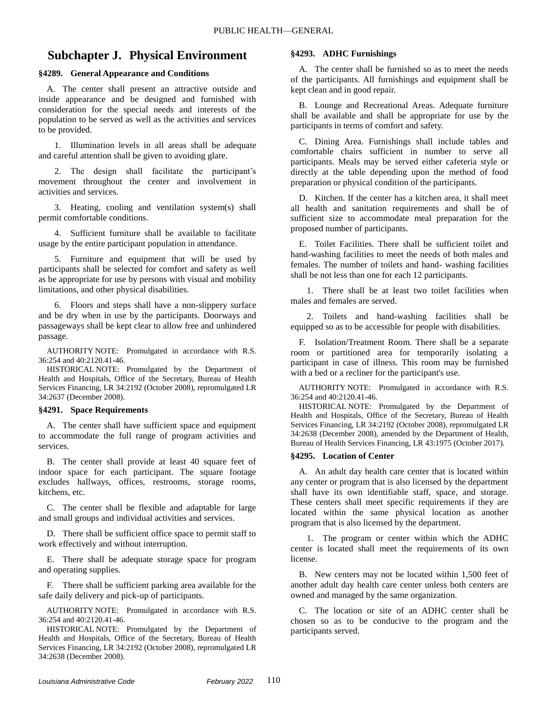# **Subchapter J. Physical Environment**

#### **§4289. General Appearance and Conditions**

A. The center shall present an attractive outside and inside appearance and be designed and furnished with consideration for the special needs and interests of the population to be served as well as the activities and services to be provided.

1. Illumination levels in all areas shall be adequate and careful attention shall be given to avoiding glare.

2. The design shall facilitate the participant's movement throughout the center and involvement in activities and services.

3. Heating, cooling and ventilation system(s) shall permit comfortable conditions.

4. Sufficient furniture shall be available to facilitate usage by the entire participant population in attendance.

5. Furniture and equipment that will be used by participants shall be selected for comfort and safety as well as be appropriate for use by persons with visual and mobility limitations, and other physical disabilities.

6. Floors and steps shall have a non-slippery surface and be dry when in use by the participants. Doorways and passageways shall be kept clear to allow free and unhindered passage.

AUTHORITY NOTE: Promulgated in accordance with R.S. 36:254 and 40:2120.41-46.

HISTORICAL NOTE: Promulgated by the Department of Health and Hospitals, Office of the Secretary, Bureau of Health Services Financing, LR 34:2192 (October 2008), repromulgated LR 34:2637 (December 2008).

#### **§4291. Space Requirements**

A. The center shall have sufficient space and equipment to accommodate the full range of program activities and services.

B. The center shall provide at least 40 square feet of indoor space for each participant. The square footage excludes hallways, offices, restrooms, storage rooms, kitchens, etc.

C. The center shall be flexible and adaptable for large and small groups and individual activities and services.

D. There shall be sufficient office space to permit staff to work effectively and without interruption.

E. There shall be adequate storage space for program and operating supplies.

F. There shall be sufficient parking area available for the safe daily delivery and pick-up of participants.

AUTHORITY NOTE: Promulgated in accordance with R.S. 36:254 and 40:2120.41-46.

HISTORICAL NOTE: Promulgated by the Department of Health and Hospitals, Office of the Secretary, Bureau of Health Services Financing, LR 34:2192 (October 2008), repromulgated LR 34:2638 (December 2008).

#### **§4293. ADHC Furnishings**

A. The center shall be furnished so as to meet the needs of the participants. All furnishings and equipment shall be kept clean and in good repair.

B. Lounge and Recreational Areas. Adequate furniture shall be available and shall be appropriate for use by the participants in terms of comfort and safety.

C. Dining Area. Furnishings shall include tables and comfortable chairs sufficient in number to serve all participants. Meals may be served either cafeteria style or directly at the table depending upon the method of food preparation or physical condition of the participants.

D. Kitchen. If the center has a kitchen area, it shall meet all health and sanitation requirements and shall be of sufficient size to accommodate meal preparation for the proposed number of participants.

E. Toilet Facilities. There shall be sufficient toilet and hand-washing facilities to meet the needs of both males and females. The number of toilets and hand- washing facilities shall be not less than one for each 12 participants.

1. There shall be at least two toilet facilities when males and females are served.

2. Toilets and hand-washing facilities shall be equipped so as to be accessible for people with disabilities.

F. Isolation/Treatment Room. There shall be a separate room or partitioned area for temporarily isolating a participant in case of illness. This room may be furnished with a bed or a recliner for the participant's use.

AUTHORITY NOTE: Promulgated in accordance with R.S. 36:254 and 40:2120.41-46.

HISTORICAL NOTE: Promulgated by the Department of Health and Hospitals, Office of the Secretary, Bureau of Health Services Financing, LR 34:2192 (October 2008), repromulgated LR 34:2638 (December 2008), amended by the Department of Health, Bureau of Health Services Financing, LR 43:1975 (October 2017).

#### **§4295. Location of Center**

A. An adult day health care center that is located within any center or program that is also licensed by the department shall have its own identifiable staff, space, and storage. These centers shall meet specific requirements if they are located within the same physical location as another program that is also licensed by the department.

1. The program or center within which the ADHC center is located shall meet the requirements of its own license.

B. New centers may not be located within 1,500 feet of another adult day health care center unless both centers are owned and managed by the same organization.

C. The location or site of an ADHC center shall be chosen so as to be conducive to the program and the participants served.